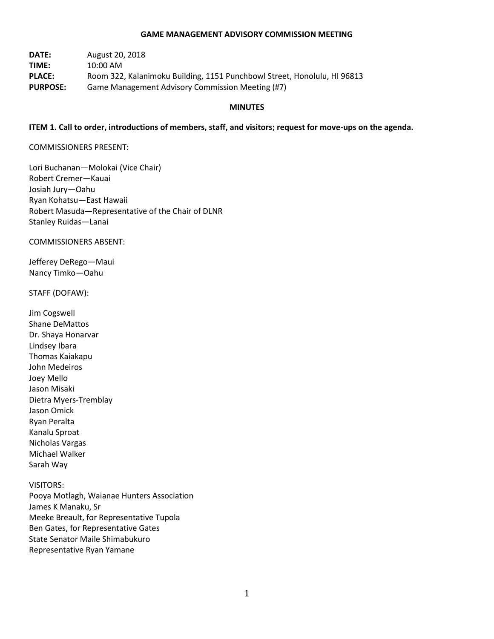#### **GAME MANAGEMENT ADVISORY COMMISSION MEETING**

**DATE:** August 20, 2018 **TIME:** 10:00 AM **PLACE:** Room 322, Kalanimoku Building, 1151 Punchbowl Street, Honolulu, HI 96813 **PURPOSE:** Game Management Advisory Commission Meeting (#7)

#### **MINUTES**

#### **ITEM 1. Call to order, introductions of members, staff, and visitors; request for move-ups on the agenda.**

#### COMMISSIONERS PRESENT:

Lori Buchanan—Molokai (Vice Chair) Robert Cremer—Kauai Josiah Jury—Oahu Ryan Kohatsu—East Hawaii Robert Masuda—Representative of the Chair of DLNR Stanley Ruidas—Lanai

COMMISSIONERS ABSENT:

Jefferey DeRego—Maui Nancy Timko—Oahu

#### STAFF (DOFAW):

Jim Cogswell Shane DeMattos Dr. Shaya Honarvar Lindsey Ibara Thomas Kaiakapu John Medeiros Joey Mello Jason Misaki Dietra Myers-Tremblay Jason Omick Ryan Peralta Kanalu Sproat Nicholas Vargas Michael Walker Sarah Way

#### VISITORS:

Pooya Motlagh, Waianae Hunters Association James K Manaku, Sr Meeke Breault, for Representative Tupola Ben Gates, for Representative Gates State Senator Maile Shimabukuro Representative Ryan Yamane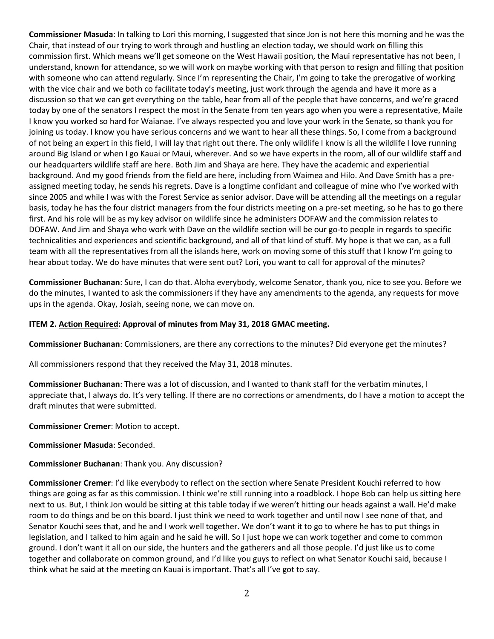**Commissioner Masuda**: In talking to Lori this morning, I suggested that since Jon is not here this morning and he was the Chair, that instead of our trying to work through and hustling an election today, we should work on filling this commission first. Which means we'll get someone on the West Hawaii position, the Maui representative has not been, I understand, known for attendance, so we will work on maybe working with that person to resign and filling that position with someone who can attend regularly. Since I'm representing the Chair, I'm going to take the prerogative of working with the vice chair and we both co facilitate today's meeting, just work through the agenda and have it more as a discussion so that we can get everything on the table, hear from all of the people that have concerns, and we're graced today by one of the senators I respect the most in the Senate from ten years ago when you were a representative, Maile I know you worked so hard for Waianae. I've always respected you and love your work in the Senate, so thank you for joining us today. I know you have serious concerns and we want to hear all these things. So, I come from a background of not being an expert in this field, I will lay that right out there. The only wildlife I know is all the wildlife I love running around Big Island or when I go Kauai or Maui, wherever. And so we have experts in the room, all of our wildlife staff and our headquarters wildlife staff are here. Both Jim and Shaya are here. They have the academic and experiential background. And my good friends from the field are here, including from Waimea and Hilo. And Dave Smith has a preassigned meeting today, he sends his regrets. Dave is a longtime confidant and colleague of mine who I've worked with since 2005 and while I was with the Forest Service as senior advisor. Dave will be attending all the meetings on a regular basis, today he has the four district managers from the four districts meeting on a pre-set meeting, so he has to go there first. And his role will be as my key advisor on wildlife since he administers DOFAW and the commission relates to DOFAW. And Jim and Shaya who work with Dave on the wildlife section will be our go-to people in regards to specific technicalities and experiences and scientific background, and all of that kind of stuff. My hope is that we can, as a full team with all the representatives from all the islands here, work on moving some of this stuff that I know I'm going to hear about today. We do have minutes that were sent out? Lori, you want to call for approval of the minutes?

**Commissioner Buchanan**: Sure, I can do that. Aloha everybody, welcome Senator, thank you, nice to see you. Before we do the minutes, I wanted to ask the commissioners if they have any amendments to the agenda, any requests for move ups in the agenda. Okay, Josiah, seeing none, we can move on.

## **ITEM 2. Action Required: Approval of minutes from May 31, 2018 GMAC meeting.**

**Commissioner Buchanan**: Commissioners, are there any corrections to the minutes? Did everyone get the minutes?

All commissioners respond that they received the May 31, 2018 minutes.

**Commissioner Buchanan**: There was a lot of discussion, and I wanted to thank staff for the verbatim minutes, I appreciate that, I always do. It's very telling. If there are no corrections or amendments, do I have a motion to accept the draft minutes that were submitted.

**Commissioner Cremer**: Motion to accept.

**Commissioner Masuda**: Seconded.

### **Commissioner Buchanan**: Thank you. Any discussion?

**Commissioner Cremer**: I'd like everybody to reflect on the section where Senate President Kouchi referred to how things are going as far as this commission. I think we're still running into a roadblock. I hope Bob can help us sitting here next to us. But, I think Jon would be sitting at this table today if we weren't hitting our heads against a wall. He'd make room to do things and be on this board. I just think we need to work together and until now I see none of that, and Senator Kouchi sees that, and he and I work well together. We don't want it to go to where he has to put things in legislation, and I talked to him again and he said he will. So I just hope we can work together and come to common ground. I don't want it all on our side, the hunters and the gatherers and all those people. I'd just like us to come together and collaborate on common ground, and I'd like you guys to reflect on what Senator Kouchi said, because I think what he said at the meeting on Kauai is important. That's all I've got to say.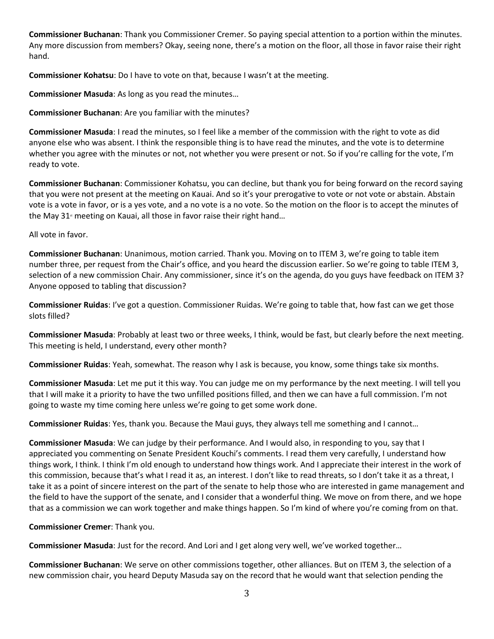**Commissioner Buchanan**: Thank you Commissioner Cremer. So paying special attention to a portion within the minutes. Any more discussion from members? Okay, seeing none, there's a motion on the floor, all those in favor raise their right hand.

**Commissioner Kohatsu**: Do I have to vote on that, because I wasn't at the meeting.

**Commissioner Masuda**: As long as you read the minutes…

**Commissioner Buchanan**: Are you familiar with the minutes?

**Commissioner Masuda**: I read the minutes, so I feel like a member of the commission with the right to vote as did anyone else who was absent. I think the responsible thing is to have read the minutes, and the vote is to determine whether you agree with the minutes or not, not whether you were present or not. So if you're calling for the vote, I'm ready to vote.

**Commissioner Buchanan**: Commissioner Kohatsu, you can decline, but thank you for being forward on the record saying that you were not present at the meeting on Kauai. And so it's your prerogative to vote or not vote or abstain. Abstain vote is a vote in favor, or is a yes vote, and a no vote is a no vote. So the motion on the floor is to accept the minutes of the May  $31<sup>*</sup>$  meeting on Kauai, all those in favor raise their right hand...

All vote in favor.

**Commissioner Buchanan**: Unanimous, motion carried. Thank you. Moving on to ITEM 3, we're going to table item number three, per request from the Chair's office, and you heard the discussion earlier. So we're going to table ITEM 3, selection of a new commission Chair. Any commissioner, since it's on the agenda, do you guys have feedback on ITEM 3? Anyone opposed to tabling that discussion?

**Commissioner Ruidas**: I've got a question. Commissioner Ruidas. We're going to table that, how fast can we get those slots filled?

**Commissioner Masuda**: Probably at least two or three weeks, I think, would be fast, but clearly before the next meeting. This meeting is held, I understand, every other month?

**Commissioner Ruidas**: Yeah, somewhat. The reason why I ask is because, you know, some things take six months.

**Commissioner Masuda**: Let me put it this way. You can judge me on my performance by the next meeting. I will tell you that I will make it a priority to have the two unfilled positions filled, and then we can have a full commission. I'm not going to waste my time coming here unless we're going to get some work done.

**Commissioner Ruidas**: Yes, thank you. Because the Maui guys, they always tell me something and I cannot…

**Commissioner Masuda**: We can judge by their performance. And I would also, in responding to you, say that I appreciated you commenting on Senate President Kouchi's comments. I read them very carefully, I understand how things work, I think. I think I'm old enough to understand how things work. And I appreciate their interest in the work of this commission, because that's what I read it as, an interest. I don't like to read threats, so I don't take it as a threat, I take it as a point of sincere interest on the part of the senate to help those who are interested in game management and the field to have the support of the senate, and I consider that a wonderful thing. We move on from there, and we hope that as a commission we can work together and make things happen. So I'm kind of where you're coming from on that.

**Commissioner Cremer**: Thank you.

**Commissioner Masuda**: Just for the record. And Lori and I get along very well, we've worked together…

**Commissioner Buchanan**: We serve on other commissions together, other alliances. But on ITEM 3, the selection of a new commission chair, you heard Deputy Masuda say on the record that he would want that selection pending the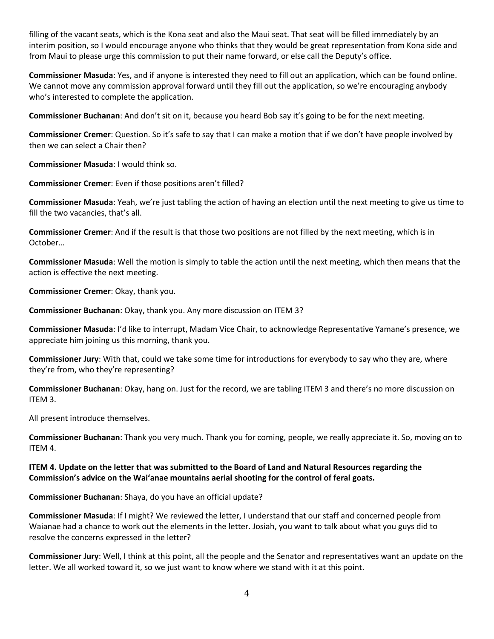filling of the vacant seats, which is the Kona seat and also the Maui seat. That seat will be filled immediately by an interim position, so I would encourage anyone who thinks that they would be great representation from Kona side and from Maui to please urge this commission to put their name forward, or else call the Deputy's office.

**Commissioner Masuda**: Yes, and if anyone is interested they need to fill out an application, which can be found online. We cannot move any commission approval forward until they fill out the application, so we're encouraging anybody who's interested to complete the application.

**Commissioner Buchanan**: And don't sit on it, because you heard Bob say it's going to be for the next meeting.

**Commissioner Cremer**: Question. So it's safe to say that I can make a motion that if we don't have people involved by then we can select a Chair then?

**Commissioner Masuda**: I would think so.

**Commissioner Cremer**: Even if those positions aren't filled?

**Commissioner Masuda**: Yeah, we're just tabling the action of having an election until the next meeting to give us time to fill the two vacancies, that's all.

**Commissioner Cremer**: And if the result is that those two positions are not filled by the next meeting, which is in October…

**Commissioner Masuda**: Well the motion is simply to table the action until the next meeting, which then means that the action is effective the next meeting.

**Commissioner Cremer**: Okay, thank you.

**Commissioner Buchanan**: Okay, thank you. Any more discussion on ITEM 3?

**Commissioner Masuda**: I'd like to interrupt, Madam Vice Chair, to acknowledge Representative Yamane's presence, we appreciate him joining us this morning, thank you.

**Commissioner Jury**: With that, could we take some time for introductions for everybody to say who they are, where they're from, who they're representing?

**Commissioner Buchanan**: Okay, hang on. Just for the record, we are tabling ITEM 3 and there's no more discussion on ITEM 3.

All present introduce themselves.

**Commissioner Buchanan**: Thank you very much. Thank you for coming, people, we really appreciate it. So, moving on to ITEM 4.

## **ITEM 4. Update on the letter that was submitted to the Board of Land and Natural Resources regarding the Commission's advice on the Wai'anae mountains aerial shooting for the control of feral goats.**

**Commissioner Buchanan**: Shaya, do you have an official update?

**Commissioner Masuda**: If I might? We reviewed the letter, I understand that our staff and concerned people from Waianae had a chance to work out the elements in the letter. Josiah, you want to talk about what you guys did to resolve the concerns expressed in the letter?

**Commissioner Jury**: Well, I think at this point, all the people and the Senator and representatives want an update on the letter. We all worked toward it, so we just want to know where we stand with it at this point.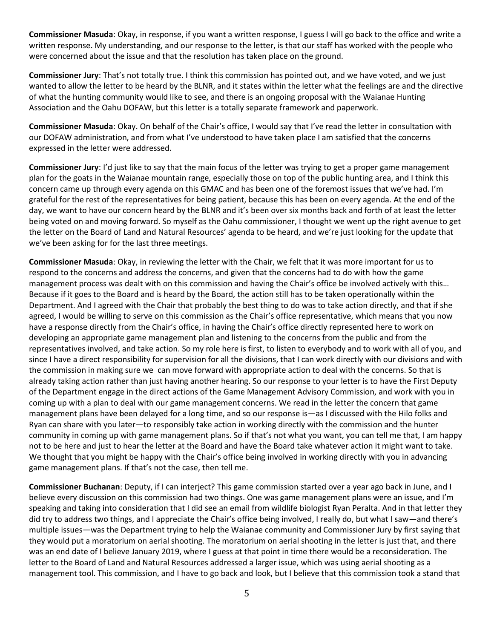**Commissioner Masuda**: Okay, in response, if you want a written response, I guess I will go back to the office and write a written response. My understanding, and our response to the letter, is that our staff has worked with the people who were concerned about the issue and that the resolution has taken place on the ground.

**Commissioner Jury**: That's not totally true. I think this commission has pointed out, and we have voted, and we just wanted to allow the letter to be heard by the BLNR, and it states within the letter what the feelings are and the directive of what the hunting community would like to see, and there is an ongoing proposal with the Waianae Hunting Association and the Oahu DOFAW, but this letter is a totally separate framework and paperwork.

**Commissioner Masuda**: Okay. On behalf of the Chair's office, I would say that I've read the letter in consultation with our DOFAW administration, and from what I've understood to have taken place I am satisfied that the concerns expressed in the letter were addressed.

**Commissioner Jury**: I'd just like to say that the main focus of the letter was trying to get a proper game management plan for the goats in the Waianae mountain range, especially those on top of the public hunting area, and I think this concern came up through every agenda on this GMAC and has been one of the foremost issues that we've had. I'm grateful for the rest of the representatives for being patient, because this has been on every agenda. At the end of the day, we want to have our concern heard by the BLNR and it's been over six months back and forth of at least the letter being voted on and moving forward. So myself as the Oahu commissioner, I thought we went up the right avenue to get the letter on the Board of Land and Natural Resources' agenda to be heard, and we're just looking for the update that we've been asking for for the last three meetings.

**Commissioner Masuda**: Okay, in reviewing the letter with the Chair, we felt that it was more important for us to respond to the concerns and address the concerns, and given that the concerns had to do with how the game management process was dealt with on this commission and having the Chair's office be involved actively with this… Because if it goes to the Board and is heard by the Board, the action still has to be taken operationally within the Department. And I agreed with the Chair that probably the best thing to do was to take action directly, and that if she agreed, I would be willing to serve on this commission as the Chair's office representative, which means that you now have a response directly from the Chair's office, in having the Chair's office directly represented here to work on developing an appropriate game management plan and listening to the concerns from the public and from the representatives involved, and take action. So my role here is first, to listen to everybody and to work with all of you, and since I have a direct responsibility for supervision for all the divisions, that I can work directly with our divisions and with the commission in making sure we can move forward with appropriate action to deal with the concerns. So that is already taking action rather than just having another hearing. So our response to your letter is to have the First Deputy of the Department engage in the direct actions of the Game Management Advisory Commission, and work with you in coming up with a plan to deal with our game management concerns. We read in the letter the concern that game management plans have been delayed for a long time, and so our response is—as I discussed with the Hilo folks and Ryan can share with you later—to responsibly take action in working directly with the commission and the hunter community in coming up with game management plans. So if that's not what you want, you can tell me that, I am happy not to be here and just to hear the letter at the Board and have the Board take whatever action it might want to take. We thought that you might be happy with the Chair's office being involved in working directly with you in advancing game management plans. If that's not the case, then tell me.

**Commissioner Buchanan**: Deputy, if I can interject? This game commission started over a year ago back in June, and I believe every discussion on this commission had two things. One was game management plans were an issue, and I'm speaking and taking into consideration that I did see an email from wildlife biologist Ryan Peralta. And in that letter they did try to address two things, and I appreciate the Chair's office being involved, I really do, but what I saw—and there's multiple issues—was the Department trying to help the Waianae community and Commissioner Jury by first saying that they would put a moratorium on aerial shooting. The moratorium on aerial shooting in the letter is just that, and there was an end date of I believe January 2019, where I guess at that point in time there would be a reconsideration. The letter to the Board of Land and Natural Resources addressed a larger issue, which was using aerial shooting as a management tool. This commission, and I have to go back and look, but I believe that this commission took a stand that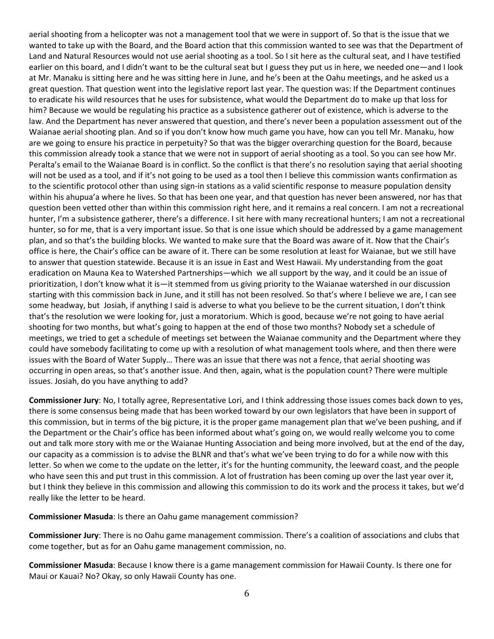aerial shooting from a helicopter was not a management tool that we were in support of. So that is the issue that we wanted to take up with the Board, and the Board action that this commission wanted to see was that the Department of Land and Natural Resources would not use aerial shooting as a tool. So I sit here as the cultural seat, and I have testified earlier on this board, and I didn't want to be the cultural seat but I guess they put us in here, we needed one—and I look at Mr. Manaku is sitting here and he was sitting here in June, and he's been at the Oahu meetings, and he asked us a great question. That question went into the legislative report last year. The question was: If the Department continues to eradicate his wild resources that he uses for subsistence, what would the Department do to make up that loss for him? Because we would be regulating his practice as a subsistence gatherer out of existence, which is adverse to the law. And the Department has never answered that question, and there's never been a population assessment out of the Waianae aerial shooting plan. And so if you don't know how much game you have, how can you tell Mr. Manaku, how are we going to ensure his practice in perpetuity? So that was the bigger overarching question for the Board, because this commission already took a stance that we were not in support of aerial shooting as a tool. So you can see how Mr. Peralta's email to the Waianae Board is in conflict. So the conflict is that there's no resolution saying that aerial shooting will not be used as a tool, and if it's not going to be used as a tool then I believe this commission wants confirmation as to the scientific protocol other than using sign-in stations as a valid scientific response to measure population density within his ahupua'a where he lives. So that has been one year, and that question has never been answered, nor has that question been vetted other than within this commission right here, and it remains a real concern. I am not a recreational hunter, I'm a subsistence gatherer, there's a difference. I sit here with many recreational hunters; I am not a recreational hunter, so for me, that is a very important issue. So that is one issue which should be addressed by a game management plan, and so that's the building blocks. We wanted to make sure that the Board was aware of it. Now that the Chair's office is here, the Chair's office can be aware of it. There can be some resolution at least for Waianae, but we still have to answer that question statewide. Because it is an issue in East and West Hawaii. My understanding from the goat eradication on Mauna Kea to Watershed Partnerships—which we all support by the way, and it could be an issue of prioritization, I don't know what it is—it stemmed from us giving priority to the Waianae watershed in our discussion starting with this commission back in June, and it still has not been resolved. So that's where I believe we are, I can see some headway, but Josiah, if anything I said is adverse to what you believe to be the current situation, I don't think that's the resolution we were looking for, just a moratorium. Which is good, because we're not going to have aerial shooting for two months, but what's going to happen at the end of those two months? Nobody set a schedule of meetings, we tried to get a schedule of meetings set between the Waianae community and the Department where they could have somebody facilitating to come up with a resolution of what management tools where, and then there were issues with the Board of Water Supply… There was an issue that there was not a fence, that aerial shooting was occurring in open areas, so that's another issue. And then, again, what is the population count? There were multiple issues. Josiah, do you have anything to add?

**Commissioner Jury**: No, I totally agree, Representative Lori, and I think addressing those issues comes back down to yes, there is some consensus being made that has been worked toward by our own legislators that have been in support of this commission, but in terms of the big picture, it is the proper game management plan that we've been pushing, and if the Department or the Chair's office has been informed about what's going on, we would really welcome you to come out and talk more story with me or the Waianae Hunting Association and being more involved, but at the end of the day, our capacity as a commission is to advise the BLNR and that's what we've been trying to do for a while now with this letter. So when we come to the update on the letter, it's for the hunting community, the leeward coast, and the people who have seen this and put trust in this commission. A lot of frustration has been coming up over the last year over it, but I think they believe in this commission and allowing this commission to do its work and the process it takes, but we'd really like the letter to be heard.

**Commissioner Masuda**: Is there an Oahu game management commission?

**Commissioner Jury**: There is no Oahu game management commission. There's a coalition of associations and clubs that come together, but as for an Oahu game management commission, no.

**Commissioner Masuda**: Because I know there is a game management commission for Hawaii County. Is there one for Maui or Kauai? No? Okay, so only Hawaii County has one.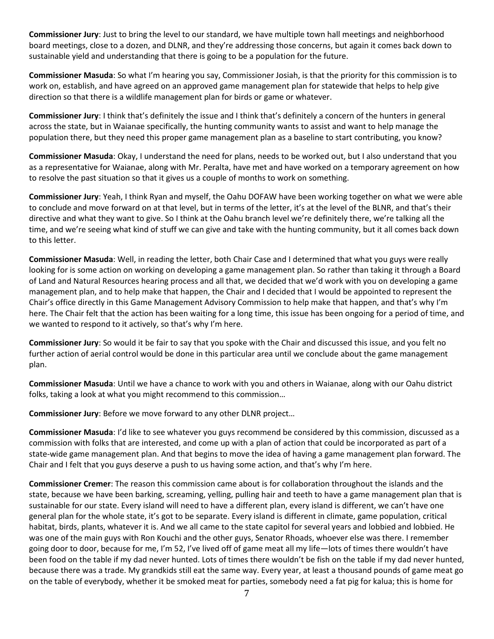**Commissioner Jury**: Just to bring the level to our standard, we have multiple town hall meetings and neighborhood board meetings, close to a dozen, and DLNR, and they're addressing those concerns, but again it comes back down to sustainable yield and understanding that there is going to be a population for the future.

**Commissioner Masuda**: So what I'm hearing you say, Commissioner Josiah, is that the priority for this commission is to work on, establish, and have agreed on an approved game management plan for statewide that helps to help give direction so that there is a wildlife management plan for birds or game or whatever.

**Commissioner Jury**: I think that's definitely the issue and I think that's definitely a concern of the hunters in general across the state, but in Waianae specifically, the hunting community wants to assist and want to help manage the population there, but they need this proper game management plan as a baseline to start contributing, you know?

**Commissioner Masuda**: Okay, I understand the need for plans, needs to be worked out, but I also understand that you as a representative for Waianae, along with Mr. Peralta, have met and have worked on a temporary agreement on how to resolve the past situation so that it gives us a couple of months to work on something.

**Commissioner Jury**: Yeah, I think Ryan and myself, the Oahu DOFAW have been working together on what we were able to conclude and move forward on at that level, but in terms of the letter, it's at the level of the BLNR, and that's their directive and what they want to give. So I think at the Oahu branch level we're definitely there, we're talking all the time, and we're seeing what kind of stuff we can give and take with the hunting community, but it all comes back down to this letter.

**Commissioner Masuda**: Well, in reading the letter, both Chair Case and I determined that what you guys were really looking for is some action on working on developing a game management plan. So rather than taking it through a Board of Land and Natural Resources hearing process and all that, we decided that we'd work with you on developing a game management plan, and to help make that happen, the Chair and I decided that I would be appointed to represent the Chair's office directly in this Game Management Advisory Commission to help make that happen, and that's why I'm here. The Chair felt that the action has been waiting for a long time, this issue has been ongoing for a period of time, and we wanted to respond to it actively, so that's why I'm here.

**Commissioner Jury**: So would it be fair to say that you spoke with the Chair and discussed this issue, and you felt no further action of aerial control would be done in this particular area until we conclude about the game management plan.

**Commissioner Masuda**: Until we have a chance to work with you and others in Waianae, along with our Oahu district folks, taking a look at what you might recommend to this commission…

**Commissioner Jury**: Before we move forward to any other DLNR project…

**Commissioner Masuda**: I'd like to see whatever you guys recommend be considered by this commission, discussed as a commission with folks that are interested, and come up with a plan of action that could be incorporated as part of a state-wide game management plan. And that begins to move the idea of having a game management plan forward. The Chair and I felt that you guys deserve a push to us having some action, and that's why I'm here.

**Commissioner Cremer**: The reason this commission came about is for collaboration throughout the islands and the state, because we have been barking, screaming, yelling, pulling hair and teeth to have a game management plan that is sustainable for our state. Every island will need to have a different plan, every island is different, we can't have one general plan for the whole state, it's got to be separate. Every island is different in climate, game population, critical habitat, birds, plants, whatever it is. And we all came to the state capitol for several years and lobbied and lobbied. He was one of the main guys with Ron Kouchi and the other guys, Senator Rhoads, whoever else was there. I remember going door to door, because for me, I'm 52, I've lived off of game meat all my life—lots of times there wouldn't have been food on the table if my dad never hunted. Lots of times there wouldn't be fish on the table if my dad never hunted, because there was a trade. My grandkids still eat the same way. Every year, at least a thousand pounds of game meat go on the table of everybody, whether it be smoked meat for parties, somebody need a fat pig for kalua; this is home for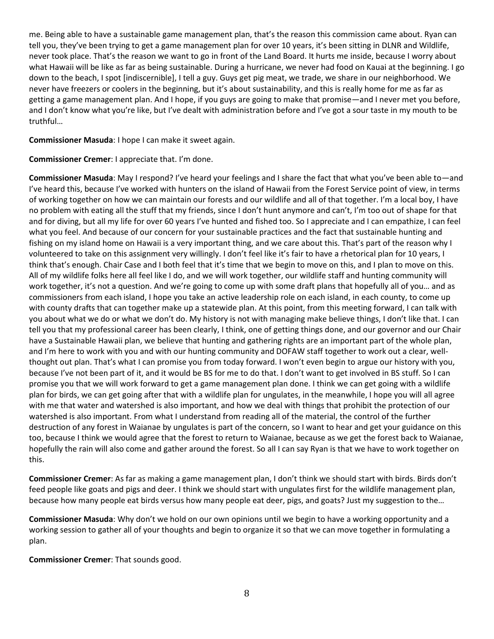me. Being able to have a sustainable game management plan, that's the reason this commission came about. Ryan can tell you, they've been trying to get a game management plan for over 10 years, it's been sitting in DLNR and Wildlife, never took place. That's the reason we want to go in front of the Land Board. It hurts me inside, because I worry about what Hawaii will be like as far as being sustainable. During a hurricane, we never had food on Kauai at the beginning. I go down to the beach, I spot [indiscernible], I tell a guy. Guys get pig meat, we trade, we share in our neighborhood. We never have freezers or coolers in the beginning, but it's about sustainability, and this is really home for me as far as getting a game management plan. And I hope, if you guys are going to make that promise—and I never met you before, and I don't know what you're like, but I've dealt with administration before and I've got a sour taste in my mouth to be truthful…

**Commissioner Masuda**: I hope I can make it sweet again.

**Commissioner Cremer**: I appreciate that. I'm done.

**Commissioner Masuda**: May I respond? I've heard your feelings and I share the fact that what you've been able to—and I've heard this, because I've worked with hunters on the island of Hawaii from the Forest Service point of view, in terms of working together on how we can maintain our forests and our wildlife and all of that together. I'm a local boy, I have no problem with eating all the stuff that my friends, since I don't hunt anymore and can't, I'm too out of shape for that and for diving, but all my life for over 60 years I've hunted and fished too. So I appreciate and I can empathize, I can feel what you feel. And because of our concern for your sustainable practices and the fact that sustainable hunting and fishing on my island home on Hawaii is a very important thing, and we care about this. That's part of the reason why I volunteered to take on this assignment very willingly. I don't feel like it's fair to have a rhetorical plan for 10 years, I think that's enough. Chair Case and I both feel that it's time that we begin to move on this, and I plan to move on this. All of my wildlife folks here all feel like I do, and we will work together, our wildlife staff and hunting community will work together, it's not a question. And we're going to come up with some draft plans that hopefully all of you… and as commissioners from each island, I hope you take an active leadership role on each island, in each county, to come up with county drafts that can together make up a statewide plan. At this point, from this meeting forward, I can talk with you about what we do or what we don't do. My history is not with managing make believe things, I don't like that. I can tell you that my professional career has been clearly, I think, one of getting things done, and our governor and our Chair have a Sustainable Hawaii plan, we believe that hunting and gathering rights are an important part of the whole plan, and I'm here to work with you and with our hunting community and DOFAW staff together to work out a clear, wellthought out plan. That's what I can promise you from today forward. I won't even begin to argue our history with you, because I've not been part of it, and it would be BS for me to do that. I don't want to get involved in BS stuff. So I can promise you that we will work forward to get a game management plan done. I think we can get going with a wildlife plan for birds, we can get going after that with a wildlife plan for ungulates, in the meanwhile, I hope you will all agree with me that water and watershed is also important, and how we deal with things that prohibit the protection of our watershed is also important. From what I understand from reading all of the material, the control of the further destruction of any forest in Waianae by ungulates is part of the concern, so I want to hear and get your guidance on this too, because I think we would agree that the forest to return to Waianae, because as we get the forest back to Waianae, hopefully the rain will also come and gather around the forest. So all I can say Ryan is that we have to work together on this.

**Commissioner Cremer**: As far as making a game management plan, I don't think we should start with birds. Birds don't feed people like goats and pigs and deer. I think we should start with ungulates first for the wildlife management plan, because how many people eat birds versus how many people eat deer, pigs, and goats? Just my suggestion to the…

**Commissioner Masuda**: Why don't we hold on our own opinions until we begin to have a working opportunity and a working session to gather all of your thoughts and begin to organize it so that we can move together in formulating a plan.

**Commissioner Cremer**: That sounds good.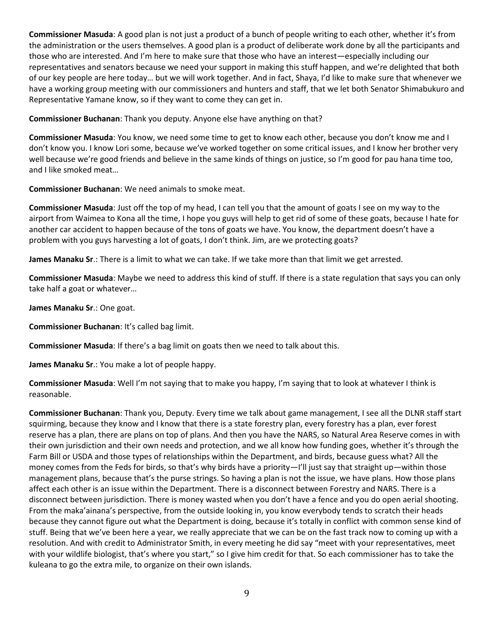**Commissioner Masuda**: A good plan is not just a product of a bunch of people writing to each other, whether it's from the administration or the users themselves. A good plan is a product of deliberate work done by all the participants and those who are interested. And I'm here to make sure that those who have an interest—especially including our representatives and senators because we need your support in making this stuff happen, and we're delighted that both of our key people are here today… but we will work together. And in fact, Shaya, I'd like to make sure that whenever we have a working group meeting with our commissioners and hunters and staff, that we let both Senator Shimabukuro and Representative Yamane know, so if they want to come they can get in.

**Commissioner Buchanan**: Thank you deputy. Anyone else have anything on that?

**Commissioner Masuda**: You know, we need some time to get to know each other, because you don't know me and I don't know you. I know Lori some, because we've worked together on some critical issues, and I know her brother very well because we're good friends and believe in the same kinds of things on justice, so I'm good for pau hana time too, and I like smoked meat…

**Commissioner Buchanan**: We need animals to smoke meat.

**Commissioner Masuda**: Just off the top of my head, I can tell you that the amount of goats I see on my way to the airport from Waimea to Kona all the time, I hope you guys will help to get rid of some of these goats, because I hate for another car accident to happen because of the tons of goats we have. You know, the department doesn't have a problem with you guys harvesting a lot of goats, I don't think. Jim, are we protecting goats?

**James Manaku Sr**.: There is a limit to what we can take. If we take more than that limit we get arrested.

**Commissioner Masuda**: Maybe we need to address this kind of stuff. If there is a state regulation that says you can only take half a goat or whatever…

**James Manaku Sr**.: One goat.

**Commissioner Buchanan**: It's called bag limit.

**Commissioner Masuda**: If there's a bag limit on goats then we need to talk about this.

**James Manaku Sr**.: You make a lot of people happy.

**Commissioner Masuda**: Well I'm not saying that to make you happy, I'm saying that to look at whatever I think is reasonable.

**Commissioner Buchanan**: Thank you, Deputy. Every time we talk about game management, I see all the DLNR staff start squirming, because they know and I know that there is a state forestry plan, every forestry has a plan, ever forest reserve has a plan, there are plans on top of plans. And then you have the NARS, so Natural Area Reserve comes in with their own jurisdiction and their own needs and protection, and we all know how funding goes, whether it's through the Farm Bill or USDA and those types of relationships within the Department, and birds, because guess what? All the money comes from the Feds for birds, so that's why birds have a priority—I'll just say that straight up—within those management plans, because that's the purse strings. So having a plan is not the issue, we have plans. How those plans affect each other is an issue within the Department. There is a disconnect between Forestry and NARS. There is a disconnect between jurisdiction. There is money wasted when you don't have a fence and you do open aerial shooting. From the maka'ainana's perspective, from the outside looking in, you know everybody tends to scratch their heads because they cannot figure out what the Department is doing, because it's totally in conflict with common sense kind of stuff. Being that we've been here a year, we really appreciate that we can be on the fast track now to coming up with a resolution. And with credit to Administrator Smith, in every meeting he did say "meet with your representatives, meet with your wildlife biologist, that's where you start," so I give him credit for that. So each commissioner has to take the kuleana to go the extra mile, to organize on their own islands.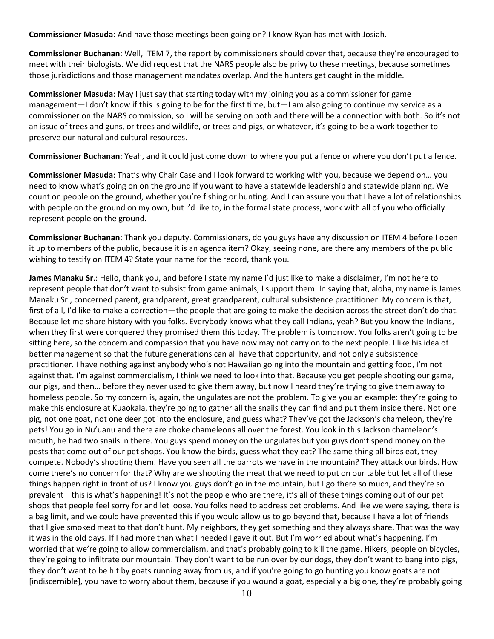**Commissioner Masuda**: And have those meetings been going on? I know Ryan has met with Josiah.

**Commissioner Buchanan**: Well, ITEM 7, the report by commissioners should cover that, because they're encouraged to meet with their biologists. We did request that the NARS people also be privy to these meetings, because sometimes those jurisdictions and those management mandates overlap. And the hunters get caught in the middle.

**Commissioner Masuda**: May I just say that starting today with my joining you as a commissioner for game management—I don't know if this is going to be for the first time, but—I am also going to continue my service as a commissioner on the NARS commission, so I will be serving on both and there will be a connection with both. So it's not an issue of trees and guns, or trees and wildlife, or trees and pigs, or whatever, it's going to be a work together to preserve our natural and cultural resources.

**Commissioner Buchanan**: Yeah, and it could just come down to where you put a fence or where you don't put a fence.

**Commissioner Masuda**: That's why Chair Case and I look forward to working with you, because we depend on… you need to know what's going on on the ground if you want to have a statewide leadership and statewide planning. We count on people on the ground, whether you're fishing or hunting. And I can assure you that I have a lot of relationships with people on the ground on my own, but I'd like to, in the formal state process, work with all of you who officially represent people on the ground.

**Commissioner Buchanan**: Thank you deputy. Commissioners, do you guys have any discussion on ITEM 4 before I open it up to members of the public, because it is an agenda item? Okay, seeing none, are there any members of the public wishing to testify on ITEM 4? State your name for the record, thank you.

**James Manaku Sr**.: Hello, thank you, and before I state my name I'd just like to make a disclaimer, I'm not here to represent people that don't want to subsist from game animals, I support them. In saying that, aloha, my name is James Manaku Sr., concerned parent, grandparent, great grandparent, cultural subsistence practitioner. My concern is that, first of all, I'd like to make a correction—the people that are going to make the decision across the street don't do that. Because let me share history with you folks. Everybody knows what they call Indians, yeah? But you know the Indians, when they first were conquered they promised them this today. The problem is tomorrow. You folks aren't going to be sitting here, so the concern and compassion that you have now may not carry on to the next people. I like his idea of better management so that the future generations can all have that opportunity, and not only a subsistence practitioner. I have nothing against anybody who's not Hawaiian going into the mountain and getting food, I'm not against that. I'm against commercialism, I think we need to look into that. Because you get people shooting our game, our pigs, and then… before they never used to give them away, but now I heard they're trying to give them away to homeless people. So my concern is, again, the ungulates are not the problem. To give you an example: they're going to make this enclosure at Kuaokala, they're going to gather all the snails they can find and put them inside there. Not one pig, not one goat, not one deer got into the enclosure, and guess what? They've got the Jackson's chameleon, they're pets! You go in Nu'uanu and there are choke chameleons all over the forest. You look in this Jackson chameleon's mouth, he had two snails in there. You guys spend money on the ungulates but you guys don't spend money on the pests that come out of our pet shops. You know the birds, guess what they eat? The same thing all birds eat, they compete. Nobody's shooting them. Have you seen all the parrots we have in the mountain? They attack our birds. How come there's no concern for that? Why are we shooting the meat that we need to put on our table but let all of these things happen right in front of us? I know you guys don't go in the mountain, but I go there so much, and they're so prevalent—this is what's happening! It's not the people who are there, it's all of these things coming out of our pet shops that people feel sorry for and let loose. You folks need to address pet problems. And like we were saying, there is a bag limit, and we could have prevented this if you would allow us to go beyond that, because I have a lot of friends that I give smoked meat to that don't hunt. My neighbors, they get something and they always share. That was the way it was in the old days. If I had more than what I needed I gave it out. But I'm worried about what's happening, I'm worried that we're going to allow commercialism, and that's probably going to kill the game. Hikers, people on bicycles, they're going to infiltrate our mountain. They don't want to be run over by our dogs, they don't want to bang into pigs, they don't want to be hit by goats running away from us, and if you're going to go hunting you know goats are not [indiscernible], you have to worry about them, because if you wound a goat, especially a big one, they're probably going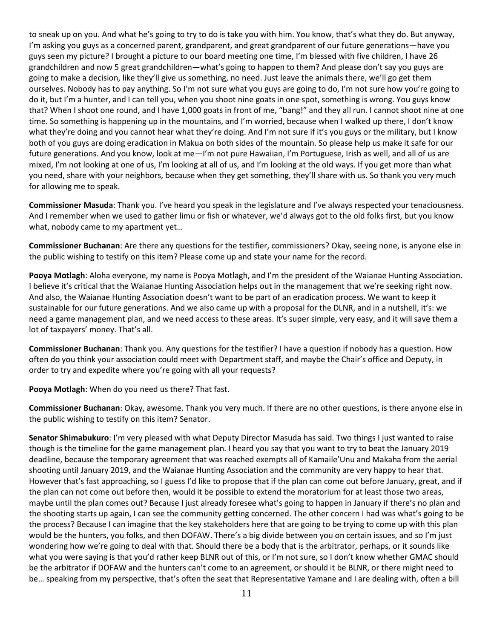to sneak up on you. And what he's going to try to do is take you with him. You know, that's what they do. But anyway, I'm asking you guys as a concerned parent, grandparent, and great grandparent of our future generations—have you guys seen my picture? I brought a picture to our board meeting one time, I'm blessed with five children, I have 26 grandchildren and now 5 great grandchildren—what's going to happen to them? And please don't say you guys are going to make a decision, like they'll give us something, no need. Just leave the animals there, we'll go get them ourselves. Nobody has to pay anything. So I'm not sure what you guys are going to do, I'm not sure how you're going to do it, but I'm a hunter, and I can tell you, when you shoot nine goats in one spot, something is wrong. You guys know that? When I shoot one round, and I have 1,000 goats in front of me, "bang!" and they all run. I cannot shoot nine at one time. So something is happening up in the mountains, and I'm worried, because when I walked up there, I don't know what they're doing and you cannot hear what they're doing. And I'm not sure if it's you guys or the military, but I know both of you guys are doing eradication in Makua on both sides of the mountain. So please help us make it safe for our future generations. And you know, look at me—I'm not pure Hawaiian, I'm Portuguese, Irish as well, and all of us are mixed, I'm not looking at one of us, I'm looking at all of us, and I'm looking at the old ways. If you get more than what you need, share with your neighbors, because when they get something, they'll share with us. So thank you very much for allowing me to speak.

**Commissioner Masuda**: Thank you. I've heard you speak in the legislature and I've always respected your tenaciousness. And I remember when we used to gather limu or fish or whatever, we'd always got to the old folks first, but you know what, nobody came to my apartment yet…

**Commissioner Buchanan**: Are there any questions for the testifier, commissioners? Okay, seeing none, is anyone else in the public wishing to testify on this item? Please come up and state your name for the record.

**Pooya Motlagh**: Aloha everyone, my name is Pooya Motlagh, and I'm the president of the Waianae Hunting Association. I believe it's critical that the Waianae Hunting Association helps out in the management that we're seeking right now. And also, the Waianae Hunting Association doesn't want to be part of an eradication process. We want to keep it sustainable for our future generations. And we also came up with a proposal for the DLNR, and in a nutshell, it's: we need a game management plan, and we need access to these areas. It's super simple, very easy, and it will save them a lot of taxpayers' money. That's all.

**Commissioner Buchanan**: Thank you. Any questions for the testifier? I have a question if nobody has a question. How often do you think your association could meet with Department staff, and maybe the Chair's office and Deputy, in order to try and expedite where you're going with all your requests?

**Pooya Motlagh**: When do you need us there? That fast.

**Commissioner Buchanan**: Okay, awesome. Thank you very much. If there are no other questions, is there anyone else in the public wishing to testify on this item? Senator.

**Senator Shimabukuro**: I'm very pleased with what Deputy Director Masuda has said. Two things I just wanted to raise though is the timeline for the game management plan. I heard you say that you want to try to beat the January 2019 deadline, because the temporary agreement that was reached exempts all of Kamaile'Unu and Makaha from the aerial shooting until January 2019, and the Waianae Hunting Association and the community are very happy to hear that. However that's fast approaching, so I guess I'd like to propose that if the plan can come out before January, great, and if the plan can not come out before then, would it be possible to extend the moratorium for at least those two areas, maybe until the plan comes out? Because I just already foresee what's going to happen in January if there's no plan and the shooting starts up again, I can see the community getting concerned. The other concern I had was what's going to be the process? Because I can imagine that the key stakeholders here that are going to be trying to come up with this plan would be the hunters, you folks, and then DOFAW. There's a big divide between you on certain issues, and so I'm just wondering how we're going to deal with that. Should there be a body that is the arbitrator, perhaps, or it sounds like what you were saying is that you'd rather keep BLNR out of this, or I'm not sure, so I don't know whether GMAC should be the arbitrator if DOFAW and the hunters can't come to an agreement, or should it be BLNR, or there might need to be… speaking from my perspective, that's often the seat that Representative Yamane and I are dealing with, often a bill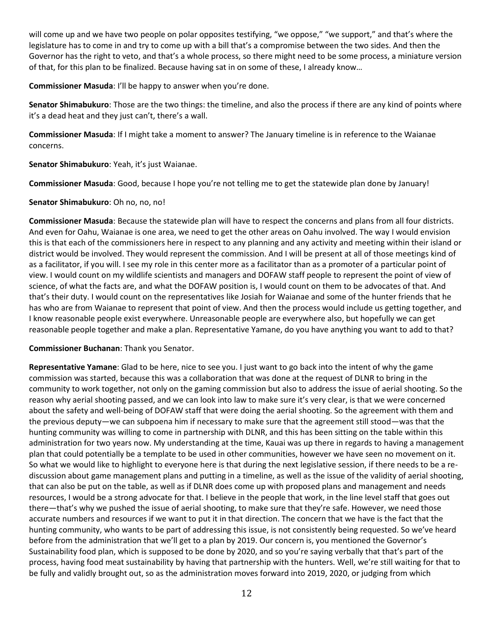will come up and we have two people on polar opposites testifying, "we oppose," "we support," and that's where the legislature has to come in and try to come up with a bill that's a compromise between the two sides. And then the Governor has the right to veto, and that's a whole process, so there might need to be some process, a miniature version of that, for this plan to be finalized. Because having sat in on some of these, I already know…

**Commissioner Masuda**: I'll be happy to answer when you're done.

**Senator Shimabukuro**: Those are the two things: the timeline, and also the process if there are any kind of points where it's a dead heat and they just can't, there's a wall.

**Commissioner Masuda**: If I might take a moment to answer? The January timeline is in reference to the Waianae concerns.

**Senator Shimabukuro**: Yeah, it's just Waianae.

**Commissioner Masuda**: Good, because I hope you're not telling me to get the statewide plan done by January!

### **Senator Shimabukuro**: Oh no, no, no!

**Commissioner Masuda**: Because the statewide plan will have to respect the concerns and plans from all four districts. And even for Oahu, Waianae is one area, we need to get the other areas on Oahu involved. The way I would envision this is that each of the commissioners here in respect to any planning and any activity and meeting within their island or district would be involved. They would represent the commission. And I will be present at all of those meetings kind of as a facilitator, if you will. I see my role in this center more as a facilitator than as a promoter of a particular point of view. I would count on my wildlife scientists and managers and DOFAW staff people to represent the point of view of science, of what the facts are, and what the DOFAW position is, I would count on them to be advocates of that. And that's their duty. I would count on the representatives like Josiah for Waianae and some of the hunter friends that he has who are from Waianae to represent that point of view. And then the process would include us getting together, and I know reasonable people exist everywhere. Unreasonable people are everywhere also, but hopefully we can get reasonable people together and make a plan. Representative Yamane, do you have anything you want to add to that?

#### **Commissioner Buchanan**: Thank you Senator.

**Representative Yamane**: Glad to be here, nice to see you. I just want to go back into the intent of why the game commission was started, because this was a collaboration that was done at the request of DLNR to bring in the community to work together, not only on the gaming commission but also to address the issue of aerial shooting. So the reason why aerial shooting passed, and we can look into law to make sure it's very clear, is that we were concerned about the safety and well-being of DOFAW staff that were doing the aerial shooting. So the agreement with them and the previous deputy—we can subpoena him if necessary to make sure that the agreement still stood—was that the hunting community was willing to come in partnership with DLNR, and this has been sitting on the table within this administration for two years now. My understanding at the time, Kauai was up there in regards to having a management plan that could potentially be a template to be used in other communities, however we have seen no movement on it. So what we would like to highlight to everyone here is that during the next legislative session, if there needs to be a rediscussion about game management plans and putting in a timeline, as well as the issue of the validity of aerial shooting, that can also be put on the table, as well as if DLNR does come up with proposed plans and management and needs resources, I would be a strong advocate for that. I believe in the people that work, in the line level staff that goes out there—that's why we pushed the issue of aerial shooting, to make sure that they're safe. However, we need those accurate numbers and resources if we want to put it in that direction. The concern that we have is the fact that the hunting community, who wants to be part of addressing this issue, is not consistently being requested. So we've heard before from the administration that we'll get to a plan by 2019. Our concern is, you mentioned the Governor's Sustainability food plan, which is supposed to be done by 2020, and so you're saying verbally that that's part of the process, having food meat sustainability by having that partnership with the hunters. Well, we're still waiting for that to be fully and validly brought out, so as the administration moves forward into 2019, 2020, or judging from which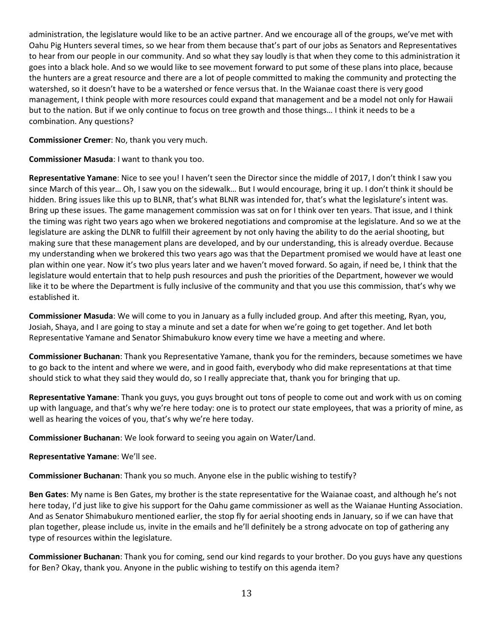administration, the legislature would like to be an active partner. And we encourage all of the groups, we've met with Oahu Pig Hunters several times, so we hear from them because that's part of our jobs as Senators and Representatives to hear from our people in our community. And so what they say loudly is that when they come to this administration it goes into a black hole. And so we would like to see movement forward to put some of these plans into place, because the hunters are a great resource and there are a lot of people committed to making the community and protecting the watershed, so it doesn't have to be a watershed or fence versus that. In the Waianae coast there is very good management, I think people with more resources could expand that management and be a model not only for Hawaii but to the nation. But if we only continue to focus on tree growth and those things… I think it needs to be a combination. Any questions?

**Commissioner Cremer**: No, thank you very much.

**Commissioner Masuda**: I want to thank you too.

**Representative Yamane**: Nice to see you! I haven't seen the Director since the middle of 2017, I don't think I saw you since March of this year… Oh, I saw you on the sidewalk… But I would encourage, bring it up. I don't think it should be hidden. Bring issues like this up to BLNR, that's what BLNR was intended for, that's what the legislature's intent was. Bring up these issues. The game management commission was sat on for I think over ten years. That issue, and I think the timing was right two years ago when we brokered negotiations and compromise at the legislature. And so we at the legislature are asking the DLNR to fulfill their agreement by not only having the ability to do the aerial shooting, but making sure that these management plans are developed, and by our understanding, this is already overdue. Because my understanding when we brokered this two years ago was that the Department promised we would have at least one plan within one year. Now it's two plus years later and we haven't moved forward. So again, if need be, I think that the legislature would entertain that to help push resources and push the priorities of the Department, however we would like it to be where the Department is fully inclusive of the community and that you use this commission, that's why we established it.

**Commissioner Masuda**: We will come to you in January as a fully included group. And after this meeting, Ryan, you, Josiah, Shaya, and I are going to stay a minute and set a date for when we're going to get together. And let both Representative Yamane and Senator Shimabukuro know every time we have a meeting and where.

**Commissioner Buchanan**: Thank you Representative Yamane, thank you for the reminders, because sometimes we have to go back to the intent and where we were, and in good faith, everybody who did make representations at that time should stick to what they said they would do, so I really appreciate that, thank you for bringing that up.

**Representative Yamane**: Thank you guys, you guys brought out tons of people to come out and work with us on coming up with language, and that's why we're here today: one is to protect our state employees, that was a priority of mine, as well as hearing the voices of you, that's why we're here today.

**Commissioner Buchanan**: We look forward to seeing you again on Water/Land.

**Representative Yamane**: We'll see.

**Commissioner Buchanan**: Thank you so much. Anyone else in the public wishing to testify?

**Ben Gates**: My name is Ben Gates, my brother is the state representative for the Waianae coast, and although he's not here today, I'd just like to give his support for the Oahu game commissioner as well as the Waianae Hunting Association. And as Senator Shimabukuro mentioned earlier, the stop fly for aerial shooting ends in January, so if we can have that plan together, please include us, invite in the emails and he'll definitely be a strong advocate on top of gathering any type of resources within the legislature.

**Commissioner Buchanan**: Thank you for coming, send our kind regards to your brother. Do you guys have any questions for Ben? Okay, thank you. Anyone in the public wishing to testify on this agenda item?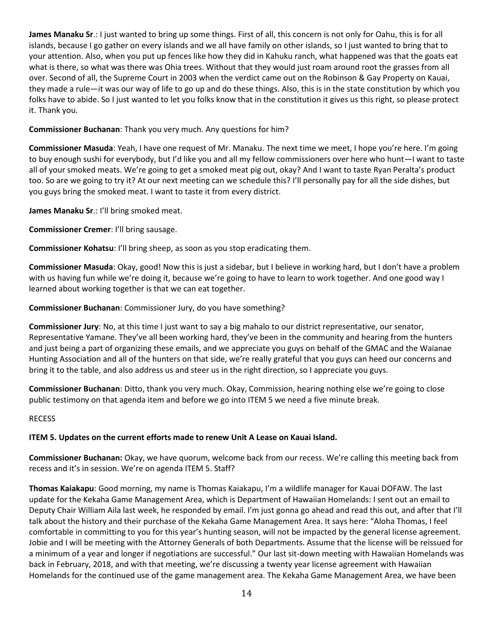**James Manaku Sr**.: I just wanted to bring up some things. First of all, this concern is not only for Oahu, this is for all islands, because I go gather on every islands and we all have family on other islands, so I just wanted to bring that to your attention. Also, when you put up fences like how they did in Kahuku ranch, what happened was that the goats eat what is there, so what was there was Ohia trees. Without that they would just roam around root the grasses from all over. Second of all, the Supreme Court in 2003 when the verdict came out on the Robinson & Gay Property on Kauai, they made a rule—it was our way of life to go up and do these things. Also, this is in the state constitution by which you folks have to abide. So I just wanted to let you folks know that in the constitution it gives us this right, so please protect it. Thank you.

**Commissioner Buchanan**: Thank you very much. Any questions for him?

**Commissioner Masuda**: Yeah, I have one request of Mr. Manaku. The next time we meet, I hope you're here. I'm going to buy enough sushi for everybody, but I'd like you and all my fellow commissioners over here who hunt—I want to taste all of your smoked meats. We're going to get a smoked meat pig out, okay? And I want to taste Ryan Peralta's product too. So are we going to try it? At our next meeting can we schedule this? I'll personally pay for all the side dishes, but you guys bring the smoked meat. I want to taste it from every district.

**James Manaku Sr**.: I'll bring smoked meat.

**Commissioner Cremer**: I'll bring sausage.

**Commissioner Kohatsu**: I'll bring sheep, as soon as you stop eradicating them.

**Commissioner Masuda**: Okay, good! Now this is just a sidebar, but I believe in working hard, but I don't have a problem with us having fun while we're doing it, because we're going to have to learn to work together. And one good way I learned about working together is that we can eat together.

**Commissioner Buchanan**: Commissioner Jury, do you have something?

**Commissioner Jury**: No, at this time I just want to say a big mahalo to our district representative, our senator, Representative Yamane. They've all been working hard, they've been in the community and hearing from the hunters and just being a part of organizing these emails, and we appreciate you guys on behalf of the GMAC and the Waianae Hunting Association and all of the hunters on that side, we're really grateful that you guys can heed our concerns and bring it to the table, and also address us and steer us in the right direction, so I appreciate you guys.

**Commissioner Buchanan**: Ditto, thank you very much. Okay, Commission, hearing nothing else we're going to close public testimony on that agenda item and before we go into ITEM 5 we need a five minute break.

### RECESS

# **ITEM 5. Updates on the current efforts made to renew Unit A Lease on Kauai Island.**

**Commissioner Buchanan:** Okay, we have quorum, welcome back from our recess. We're calling this meeting back from recess and it's in session. We're on agenda ITEM 5. Staff?

**Thomas Kaiakapu**: Good morning, my name is Thomas Kaiakapu, I'm a wildlife manager for Kauai DOFAW. The last update for the Kekaha Game Management Area, which is Department of Hawaiian Homelands: I sent out an email to Deputy Chair William Aila last week, he responded by email. I'm just gonna go ahead and read this out, and after that I'll talk about the history and their purchase of the Kekaha Game Management Area. It says here: "Aloha Thomas, I feel comfortable in committing to you for this year's hunting season, will not be impacted by the general license agreement. Jobie and I will be meeting with the Attorney Generals of both Departments. Assume that the license will be reissued for a minimum of a year and longer if negotiations are successful." Our last sit-down meeting with Hawaiian Homelands was back in February, 2018, and with that meeting, we're discussing a twenty year license agreement with Hawaiian Homelands for the continued use of the game management area. The Kekaha Game Management Area, we have been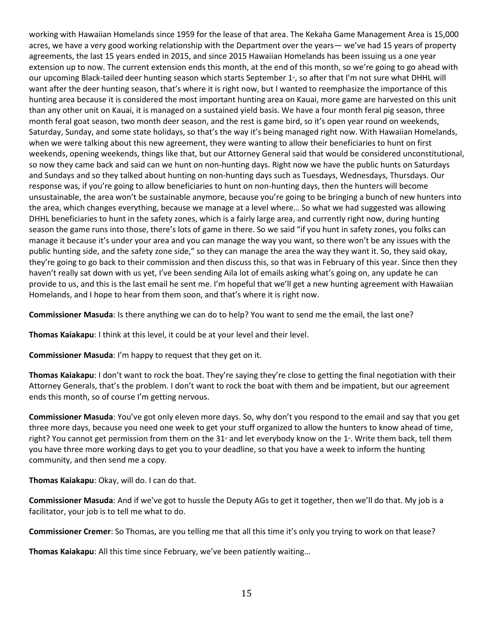working with Hawaiian Homelands since 1959 for the lease of that area. The Kekaha Game Management Area is 15,000 acres, we have a very good working relationship with the Department over the years— we've had 15 years of property agreements, the last 15 years ended in 2015, and since 2015 Hawaiian Homelands has been issuing us a one year extension up to now. The current extension ends this month, at the end of this month, so we're going to go ahead with our upcoming Black-tailed deer hunting season which starts September 1<sup>s</sup>, so after that I'm not sure what DHHL will want after the deer hunting season, that's where it is right now, but I wanted to reemphasize the importance of this hunting area because it is considered the most important hunting area on Kauai, more game are harvested on this unit than any other unit on Kauai, it is managed on a sustained yield basis. We have a four month feral pig season, three month feral goat season, two month deer season, and the rest is game bird, so it's open year round on weekends, Saturday, Sunday, and some state holidays, so that's the way it's being managed right now. With Hawaiian Homelands, when we were talking about this new agreement, they were wanting to allow their beneficiaries to hunt on first weekends, opening weekends, things like that, but our Attorney General said that would be considered unconstitutional, so now they came back and said can we hunt on non-hunting days. Right now we have the public hunts on Saturdays and Sundays and so they talked about hunting on non-hunting days such as Tuesdays, Wednesdays, Thursdays. Our response was, if you're going to allow beneficiaries to hunt on non-hunting days, then the hunters will become unsustainable, the area won't be sustainable anymore, because you're going to be bringing a bunch of new hunters into the area, which changes everything, because we manage at a level where… So what we had suggested was allowing DHHL beneficiaries to hunt in the safety zones, which is a fairly large area, and currently right now, during hunting season the game runs into those, there's lots of game in there. So we said "if you hunt in safety zones, you folks can manage it because it's under your area and you can manage the way you want, so there won't be any issues with the public hunting side, and the safety zone side," so they can manage the area the way they want it. So, they said okay, they're going to go back to their commission and then discuss this, so that was in February of this year. Since then they haven't really sat down with us yet, I've been sending Aila lot of emails asking what's going on, any update he can provide to us, and this is the last email he sent me. I'm hopeful that we'll get a new hunting agreement with Hawaiian Homelands, and I hope to hear from them soon, and that's where it is right now.

**Commissioner Masuda**: Is there anything we can do to help? You want to send me the email, the last one?

**Thomas Kaiakapu**: I think at this level, it could be at your level and their level.

**Commissioner Masuda**: I'm happy to request that they get on it.

**Thomas Kaiakapu**: I don't want to rock the boat. They're saying they're close to getting the final negotiation with their Attorney Generals, that's the problem. I don't want to rock the boat with them and be impatient, but our agreement ends this month, so of course I'm getting nervous.

**Commissioner Masuda**: You've got only eleven more days. So, why don't you respond to the email and say that you get three more days, because you need one week to get your stuff organized to allow the hunters to know ahead of time, right? You cannot get permission from them on the 31<sup>\*</sup> and let everybody know on the 1<sup>\*</sup>. Write them back, tell them you have three more working days to get you to your deadline, so that you have a week to inform the hunting community, and then send me a copy.

**Thomas Kaiakapu**: Okay, will do. I can do that.

**Commissioner Masuda**: And if we've got to hussle the Deputy AGs to get it together, then we'll do that. My job is a facilitator, your job is to tell me what to do.

**Commissioner Cremer**: So Thomas, are you telling me that all this time it's only you trying to work on that lease?

**Thomas Kaiakapu**: All this time since February, we've been patiently waiting…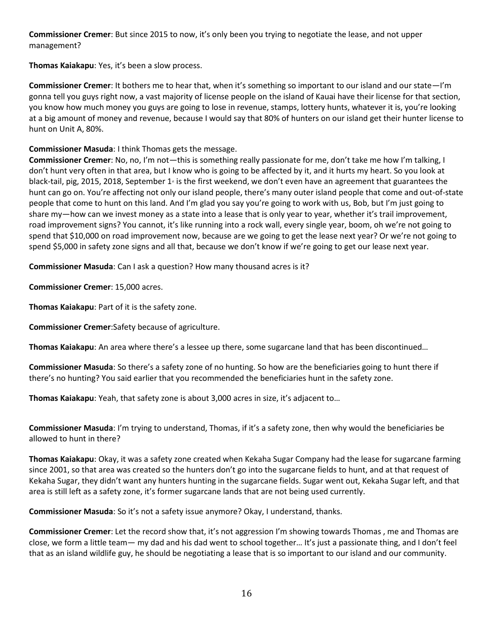**Commissioner Cremer**: But since 2015 to now, it's only been you trying to negotiate the lease, and not upper management?

**Thomas Kaiakapu**: Yes, it's been a slow process.

**Commissioner Cremer**: It bothers me to hear that, when it's something so important to our island and our state—I'm gonna tell you guys right now, a vast majority of license people on the island of Kauai have their license for that section, you know how much money you guys are going to lose in revenue, stamps, lottery hunts, whatever it is, you're looking at a big amount of money and revenue, because I would say that 80% of hunters on our island get their hunter license to hunt on Unit A, 80%.

# **Commissioner Masuda**: I think Thomas gets the message.

**Commissioner Cremer**: No, no, I'm not—this is something really passionate for me, don't take me how I'm talking, I don't hunt very often in that area, but I know who is going to be affected by it, and it hurts my heart. So you look at black-tail, pig, 2015, 2018, September 1<sup>s</sup> is the first weekend, we don't even have an agreement that guarantees the hunt can go on. You're affecting not only our island people, there's many outer island people that come and out-of-state people that come to hunt on this land. And I'm glad you say you're going to work with us, Bob, but I'm just going to share my—how can we invest money as a state into a lease that is only year to year, whether it's trail improvement, road improvement signs? You cannot, it's like running into a rock wall, every single year, boom, oh we're not going to spend that \$10,000 on road improvement now, because are we going to get the lease next year? Or we're not going to spend \$5,000 in safety zone signs and all that, because we don't know if we're going to get our lease next year.

**Commissioner Masuda**: Can I ask a question? How many thousand acres is it?

**Commissioner Cremer**: 15,000 acres.

**Thomas Kaiakapu**: Part of it is the safety zone.

**Commissioner Cremer**:Safety because of agriculture.

**Thomas Kaiakapu**: An area where there's a lessee up there, some sugarcane land that has been discontinued…

**Commissioner Masuda**: So there's a safety zone of no hunting. So how are the beneficiaries going to hunt there if there's no hunting? You said earlier that you recommended the beneficiaries hunt in the safety zone.

**Thomas Kaiakapu**: Yeah, that safety zone is about 3,000 acres in size, it's adjacent to…

**Commissioner Masuda**: I'm trying to understand, Thomas, if it's a safety zone, then why would the beneficiaries be allowed to hunt in there?

**Thomas Kaiakapu**: Okay, it was a safety zone created when Kekaha Sugar Company had the lease for sugarcane farming since 2001, so that area was created so the hunters don't go into the sugarcane fields to hunt, and at that request of Kekaha Sugar, they didn't want any hunters hunting in the sugarcane fields. Sugar went out, Kekaha Sugar left, and that area is still left as a safety zone, it's former sugarcane lands that are not being used currently.

**Commissioner Masuda**: So it's not a safety issue anymore? Okay, I understand, thanks.

**Commissioner Cremer**: Let the record show that, it's not aggression I'm showing towards Thomas , me and Thomas are close, we form a little team— my dad and his dad went to school together… It's just a passionate thing, and I don't feel that as an island wildlife guy, he should be negotiating a lease that is so important to our island and our community.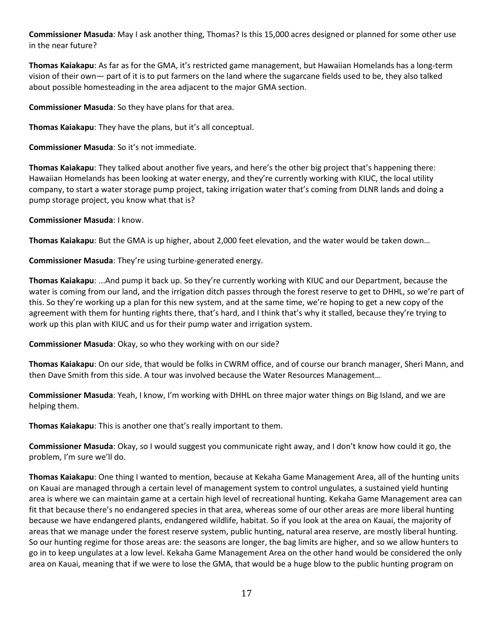**Commissioner Masuda**: May I ask another thing, Thomas? Is this 15,000 acres designed or planned for some other use in the near future?

**Thomas Kaiakapu**: As far as for the GMA, it's restricted game management, but Hawaiian Homelands has a long-term vision of their own— part of it is to put farmers on the land where the sugarcane fields used to be, they also talked about possible homesteading in the area adjacent to the major GMA section.

**Commissioner Masuda**: So they have plans for that area.

**Thomas Kaiakapu**: They have the plans, but it's all conceptual.

**Commissioner Masuda**: So it's not immediate.

**Thomas Kaiakapu**: They talked about another five years, and here's the other big project that's happening there: Hawaiian Homelands has been looking at water energy, and they're currently working with KIUC, the local utility company, to start a water storage pump project, taking irrigation water that's coming from DLNR lands and doing a pump storage project, you know what that is?

**Commissioner Masuda**: I know.

**Thomas Kaiakapu**: But the GMA is up higher, about 2,000 feet elevation, and the water would be taken down…

**Commissioner Masuda**: They're using turbine-generated energy.

**Thomas Kaiakapu**: ...And pump it back up. So they're currently working with KIUC and our Department, because the water is coming from our land, and the irrigation ditch passes through the forest reserve to get to DHHL, so we're part of this. So they're working up a plan for this new system, and at the same time, we're hoping to get a new copy of the agreement with them for hunting rights there, that's hard, and I think that's why it stalled, because they're trying to work up this plan with KIUC and us for their pump water and irrigation system.

**Commissioner Masuda**: Okay, so who they working with on our side?

**Thomas Kaiakapu**: On our side, that would be folks in CWRM office, and of course our branch manager, Sheri Mann, and then Dave Smith from this side. A tour was involved because the Water Resources Management…

**Commissioner Masuda**: Yeah, I know, I'm working with DHHL on three major water things on Big Island, and we are helping them.

**Thomas Kaiakapu**: This is another one that's really important to them.

**Commissioner Masuda**: Okay, so I would suggest you communicate right away, and I don't know how could it go, the problem, I'm sure we'll do.

**Thomas Kaiakapu**: One thing I wanted to mention, because at Kekaha Game Management Area, all of the hunting units on Kauai are managed through a certain level of management system to control ungulates, a sustained yield hunting area is where we can maintain game at a certain high level of recreational hunting. Kekaha Game Management area can fit that because there's no endangered species in that area, whereas some of our other areas are more liberal hunting because we have endangered plants, endangered wildlife, habitat. So if you look at the area on Kauai, the majority of areas that we manage under the forest reserve system, public hunting, natural area reserve, are mostly liberal hunting. So our hunting regime for those areas are: the seasons are longer, the bag limits are higher, and so we allow hunters to go in to keep ungulates at a low level. Kekaha Game Management Area on the other hand would be considered the only area on Kauai, meaning that if we were to lose the GMA, that would be a huge blow to the public hunting program on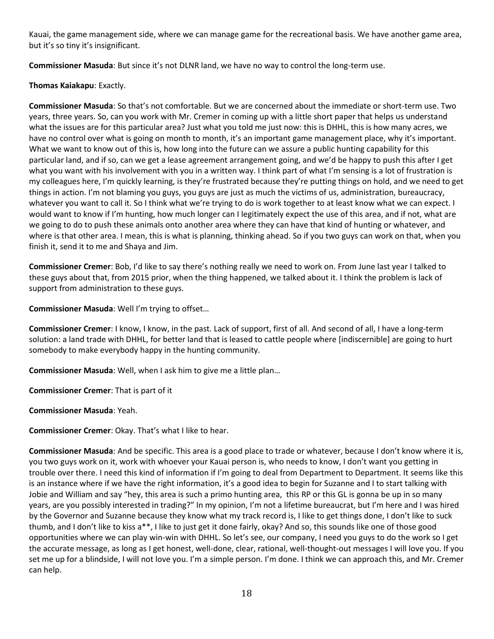Kauai, the game management side, where we can manage game for the recreational basis. We have another game area, but it's so tiny it's insignificant.

**Commissioner Masuda**: But since it's not DLNR land, we have no way to control the long-term use.

# **Thomas Kaiakapu**: Exactly.

**Commissioner Masuda**: So that's not comfortable. But we are concerned about the immediate or short-term use. Two years, three years. So, can you work with Mr. Cremer in coming up with a little short paper that helps us understand what the issues are for this particular area? Just what you told me just now: this is DHHL, this is how many acres, we have no control over what is going on month to month, it's an important game management place, why it's important. What we want to know out of this is, how long into the future can we assure a public hunting capability for this particular land, and if so, can we get a lease agreement arrangement going, and we'd be happy to push this after I get what you want with his involvement with you in a written way. I think part of what I'm sensing is a lot of frustration is my colleagues here, I'm quickly learning, is they're frustrated because they're putting things on hold, and we need to get things in action. I'm not blaming you guys, you guys are just as much the victims of us, administration, bureaucracy, whatever you want to call it. So I think what we're trying to do is work together to at least know what we can expect. I would want to know if I'm hunting, how much longer can I legitimately expect the use of this area, and if not, what are we going to do to push these animals onto another area where they can have that kind of hunting or whatever, and where is that other area. I mean, this is what is planning, thinking ahead. So if you two guys can work on that, when you finish it, send it to me and Shaya and Jim.

**Commissioner Cremer**: Bob, I'd like to say there's nothing really we need to work on. From June last year I talked to these guys about that, from 2015 prior, when the thing happened, we talked about it. I think the problem is lack of support from administration to these guys.

**Commissioner Masuda**: Well I'm trying to offset…

**Commissioner Cremer**: I know, I know, in the past. Lack of support, first of all. And second of all, I have a long-term solution: a land trade with DHHL, for better land that is leased to cattle people where [indiscernible] are going to hurt somebody to make everybody happy in the hunting community.

**Commissioner Masuda**: Well, when I ask him to give me a little plan…

**Commissioner Cremer**: That is part of it

**Commissioner Masuda**: Yeah.

**Commissioner Cremer**: Okay. That's what I like to hear.

**Commissioner Masuda**: And be specific. This area is a good place to trade or whatever, because I don't know where it is, you two guys work on it, work with whoever your Kauai person is, who needs to know, I don't want you getting in trouble over there. I need this kind of information if I'm going to deal from Department to Department. It seems like this is an instance where if we have the right information, it's a good idea to begin for Suzanne and I to start talking with Jobie and William and say "hey, this area is such a primo hunting area, this RP or this GL is gonna be up in so many years, are you possibly interested in trading?" In my opinion, I'm not a lifetime bureaucrat, but I'm here and I was hired by the Governor and Suzanne because they know what my track record is, I like to get things done, I don't like to suck thumb, and I don't like to kiss a\*\*, I like to just get it done fairly, okay? And so, this sounds like one of those good opportunities where we can play win-win with DHHL. So let's see, our company, I need you guys to do the work so I get the accurate message, as long as I get honest, well-done, clear, rational, well-thought-out messages I will love you. If you set me up for a blindside, I will not love you. I'm a simple person. I'm done. I think we can approach this, and Mr. Cremer can help.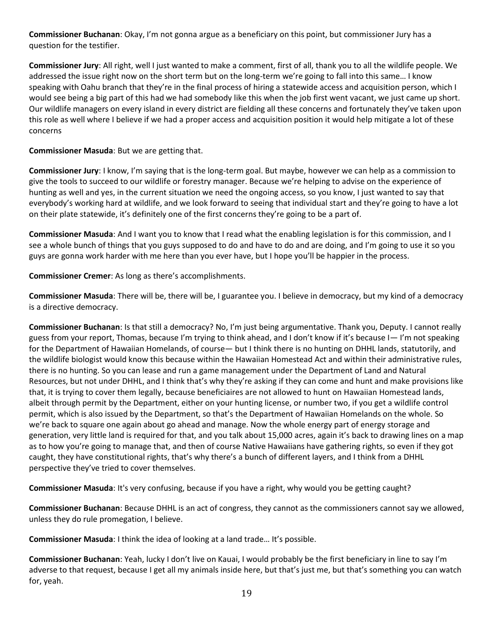**Commissioner Buchanan**: Okay, I'm not gonna argue as a beneficiary on this point, but commissioner Jury has a question for the testifier.

**Commissioner Jury**: All right, well I just wanted to make a comment, first of all, thank you to all the wildlife people. We addressed the issue right now on the short term but on the long-term we're going to fall into this same… I know speaking with Oahu branch that they're in the final process of hiring a statewide access and acquisition person, which I would see being a big part of this had we had somebody like this when the job first went vacant, we just came up short. Our wildlife managers on every island in every district are fielding all these concerns and fortunately they've taken upon this role as well where I believe if we had a proper access and acquisition position it would help mitigate a lot of these concerns

# **Commissioner Masuda**: But we are getting that.

**Commissioner Jury**: I know, I'm saying that is the long-term goal. But maybe, however we can help as a commission to give the tools to succeed to our wildlife or forestry manager. Because we're helping to advise on the experience of hunting as well and yes, in the current situation we need the ongoing access, so you know, I just wanted to say that everybody's working hard at wildlife, and we look forward to seeing that individual start and they're going to have a lot on their plate statewide, it's definitely one of the first concerns they're going to be a part of.

**Commissioner Masuda**: And I want you to know that I read what the enabling legislation is for this commission, and I see a whole bunch of things that you guys supposed to do and have to do and are doing, and I'm going to use it so you guys are gonna work harder with me here than you ever have, but I hope you'll be happier in the process.

**Commissioner Cremer**: As long as there's accomplishments.

**Commissioner Masuda**: There will be, there will be, I guarantee you. I believe in democracy, but my kind of a democracy is a directive democracy.

**Commissioner Buchanan**: Is that still a democracy? No, I'm just being argumentative. Thank you, Deputy. I cannot really guess from your report, Thomas, because I'm trying to think ahead, and I don't know if it's because I— I'm not speaking for the Department of Hawaiian Homelands, of course— but I think there is no hunting on DHHL lands, statutorily, and the wildlife biologist would know this because within the Hawaiian Homestead Act and within their administrative rules, there is no hunting. So you can lease and run a game management under the Department of Land and Natural Resources, but not under DHHL, and I think that's why they're asking if they can come and hunt and make provisions like that, it is trying to cover them legally, because beneficiaires are not allowed to hunt on Hawaiian Homestead lands, albeit through permit by the Department, either on your hunting license, or number two, if you get a wildlife control permit, which is also issued by the Department, so that's the Department of Hawaiian Homelands on the whole. So we're back to square one again about go ahead and manage. Now the whole energy part of energy storage and generation, very little land is required for that, and you talk about 15,000 acres, again it's back to drawing lines on a map as to how you're going to manage that, and then of course Native Hawaiians have gathering rights, so even if they got caught, they have constitutional rights, that's why there's a bunch of different layers, and I think from a DHHL perspective they've tried to cover themselves.

**Commissioner Masuda**: It's very confusing, because if you have a right, why would you be getting caught?

**Commissioner Buchanan**: Because DHHL is an act of congress, they cannot as the commissioners cannot say we allowed, unless they do rule promegation, I believe.

**Commissioner Masuda**: I think the idea of looking at a land trade… It's possible.

**Commissioner Buchanan**: Yeah, lucky I don't live on Kauai, I would probably be the first beneficiary in line to say I'm adverse to that request, because I get all my animals inside here, but that's just me, but that's something you can watch for, yeah.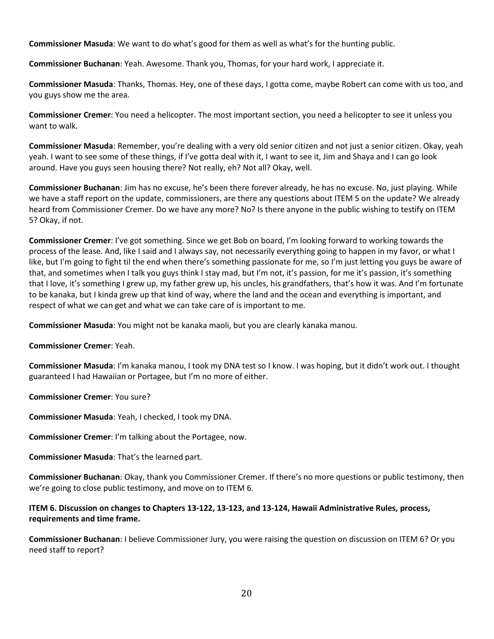**Commissioner Masuda**: We want to do what's good for them as well as what's for the hunting public.

**Commissioner Buchanan**: Yeah. Awesome. Thank you, Thomas, for your hard work, I appreciate it.

**Commissioner Masuda**: Thanks, Thomas. Hey, one of these days, I gotta come, maybe Robert can come with us too, and you guys show me the area.

**Commissioner Cremer**: You need a helicopter. The most important section, you need a helicopter to see it unless you want to walk.

**Commissioner Masuda**: Remember, you're dealing with a very old senior citizen and not just a senior citizen. Okay, yeah yeah. I want to see some of these things, if I've gotta deal with it, I want to see it, Jim and Shaya and I can go look around. Have you guys seen housing there? Not really, eh? Not all? Okay, well.

**Commissioner Buchanan**: Jim has no excuse, he's been there forever already, he has no excuse. No, just playing. While we have a staff report on the update, commissioners, are there any questions about ITEM 5 on the update? We already heard from Commissioner Cremer. Do we have any more? No? Is there anyone in the public wishing to testify on ITEM 5? Okay, if not.

**Commissioner Cremer**: I've got something. Since we get Bob on board, I'm looking forward to working towards the process of the lease. And, like I said and I always say, not necessarily everything going to happen in my favor, or what I like, but I'm going to fight til the end when there's something passionate for me, so I'm just letting you guys be aware of that, and sometimes when I talk you guys think I stay mad, but I'm not, it's passion, for me it's passion, it's something that I love, it's something I grew up, my father grew up, his uncles, his grandfathers, that's how it was. And I'm fortunate to be kanaka, but I kinda grew up that kind of way, where the land and the ocean and everything is important, and respect of what we can get and what we can take care of is important to me.

**Commissioner Masuda**: You might not be kanaka maoli, but you are clearly kanaka manou.

**Commissioner Cremer**: Yeah.

**Commissioner Masuda**: I'm kanaka manou, I took my DNA test so I know. I was hoping, but it didn't work out. I thought guaranteed I had Hawaiian or Portagee, but I'm no more of either.

**Commissioner Cremer**: You sure?

**Commissioner Masuda**: Yeah, I checked, I took my DNA.

**Commissioner Cremer**: I'm talking about the Portagee, now.

**Commissioner Masuda**: That's the learned part.

**Commissioner Buchanan**: Okay, thank you Commissioner Cremer. If there's no more questions or public testimony, then we're going to close public testimony, and move on to ITEM 6.

# **ITEM 6. Discussion on changes to Chapters 13-122, 13-123, and 13-124, Hawaii Administrative Rules, process, requirements and time frame.**

**Commissioner Buchanan**: I believe Commissioner Jury, you were raising the question on discussion on ITEM 6? Or you need staff to report?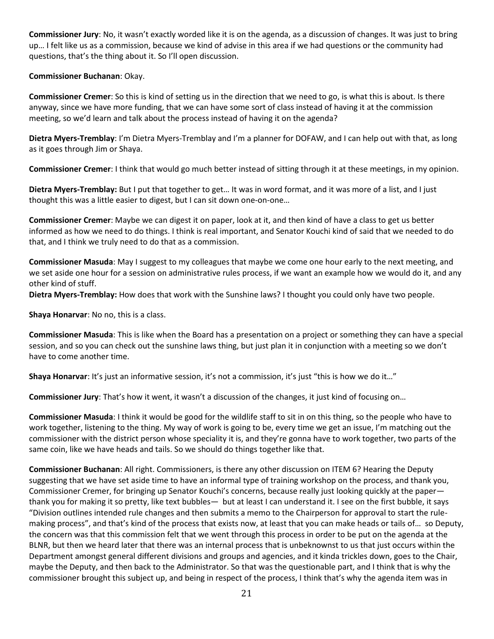**Commissioner Jury**: No, it wasn't exactly worded like it is on the agenda, as a discussion of changes. It was just to bring up… I felt like us as a commission, because we kind of advise in this area if we had questions or the community had questions, that's the thing about it. So I'll open discussion.

**Commissioner Buchanan**: Okay.

**Commissioner Cremer**: So this is kind of setting us in the direction that we need to go, is what this is about. Is there anyway, since we have more funding, that we can have some sort of class instead of having it at the commission meeting, so we'd learn and talk about the process instead of having it on the agenda?

**Dietra Myers-Tremblay**: I'm Dietra Myers-Tremblay and I'm a planner for DOFAW, and I can help out with that, as long as it goes through Jim or Shaya.

**Commissioner Cremer**: I think that would go much better instead of sitting through it at these meetings, in my opinion.

**Dietra Myers-Tremblay:** But I put that together to get… It was in word format, and it was more of a list, and I just thought this was a little easier to digest, but I can sit down one-on-one…

**Commissioner Cremer**: Maybe we can digest it on paper, look at it, and then kind of have a class to get us better informed as how we need to do things. I think is real important, and Senator Kouchi kind of said that we needed to do that, and I think we truly need to do that as a commission.

**Commissioner Masuda**: May I suggest to my colleagues that maybe we come one hour early to the next meeting, and we set aside one hour for a session on administrative rules process, if we want an example how we would do it, and any other kind of stuff.

**Dietra Myers-Tremblay:** How does that work with the Sunshine laws? I thought you could only have two people.

**Shaya Honarvar**: No no, this is a class.

**Commissioner Masuda**: This is like when the Board has a presentation on a project or something they can have a special session, and so you can check out the sunshine laws thing, but just plan it in conjunction with a meeting so we don't have to come another time.

**Shaya Honarvar**: It's just an informative session, it's not a commission, it's just "this is how we do it…"

**Commissioner Jury**: That's how it went, it wasn't a discussion of the changes, it just kind of focusing on…

**Commissioner Masuda**: I think it would be good for the wildlife staff to sit in on this thing, so the people who have to work together, listening to the thing. My way of work is going to be, every time we get an issue, I'm matching out the commissioner with the district person whose speciality it is, and they're gonna have to work together, two parts of the same coin, like we have heads and tails. So we should do things together like that.

**Commissioner Buchanan**: All right. Commissioners, is there any other discussion on ITEM 6? Hearing the Deputy suggesting that we have set aside time to have an informal type of training workshop on the process, and thank you, Commissioner Cremer, for bringing up Senator Kouchi's concerns, because really just looking quickly at the paper thank you for making it so pretty, like text bubbles— but at least I can understand it. I see on the first bubble, it says "Division outlines intended rule changes and then submits a memo to the Chairperson for approval to start the rulemaking process", and that's kind of the process that exists now, at least that you can make heads or tails of… so Deputy, the concern was that this commission felt that we went through this process in order to be put on the agenda at the BLNR, but then we heard later that there was an internal process that is unbeknownst to us that just occurs within the Department amongst general different divisions and groups and agencies, and it kinda trickles down, goes to the Chair, maybe the Deputy, and then back to the Administrator. So that was the questionable part, and I think that is why the commissioner brought this subject up, and being in respect of the process, I think that's why the agenda item was in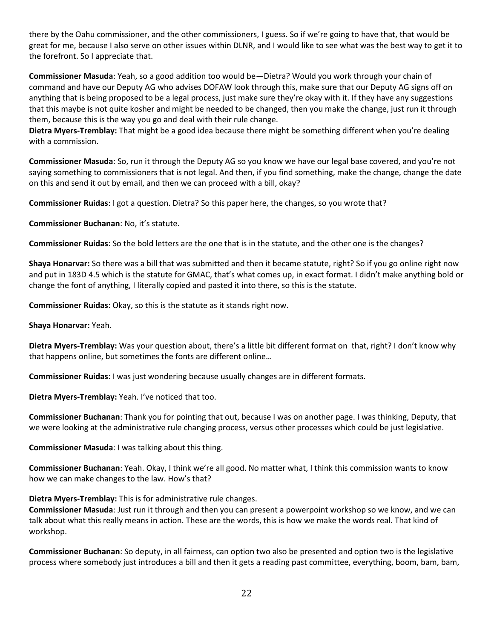there by the Oahu commissioner, and the other commissioners, I guess. So if we're going to have that, that would be great for me, because I also serve on other issues within DLNR, and I would like to see what was the best way to get it to the forefront. So I appreciate that.

**Commissioner Masuda**: Yeah, so a good addition too would be—Dietra? Would you work through your chain of command and have our Deputy AG who advises DOFAW look through this, make sure that our Deputy AG signs off on anything that is being proposed to be a legal process, just make sure they're okay with it. If they have any suggestions that this maybe is not quite kosher and might be needed to be changed, then you make the change, just run it through them, because this is the way you go and deal with their rule change.

**Dietra Myers-Tremblay:** That might be a good idea because there might be something different when you're dealing with a commission.

**Commissioner Masuda**: So, run it through the Deputy AG so you know we have our legal base covered, and you're not saying something to commissioners that is not legal. And then, if you find something, make the change, change the date on this and send it out by email, and then we can proceed with a bill, okay?

**Commissioner Ruidas**: I got a question. Dietra? So this paper here, the changes, so you wrote that?

**Commissioner Buchanan**: No, it's statute.

**Commissioner Ruidas**: So the bold letters are the one that is in the statute, and the other one is the changes?

**Shaya Honarvar:** So there was a bill that was submitted and then it became statute, right? So if you go online right now and put in 183D 4.5 which is the statute for GMAC, that's what comes up, in exact format. I didn't make anything bold or change the font of anything, I literally copied and pasted it into there, so this is the statute.

**Commissioner Ruidas**: Okay, so this is the statute as it stands right now.

**Shaya Honarvar:** Yeah.

**Dietra Myers-Tremblay:** Was your question about, there's a little bit different format on that, right? I don't know why that happens online, but sometimes the fonts are different online…

**Commissioner Ruidas**: I was just wondering because usually changes are in different formats.

**Dietra Myers-Tremblay:** Yeah. I've noticed that too.

**Commissioner Buchanan**: Thank you for pointing that out, because I was on another page. I was thinking, Deputy, that we were looking at the administrative rule changing process, versus other processes which could be just legislative.

**Commissioner Masuda**: I was talking about this thing.

**Commissioner Buchanan**: Yeah. Okay, I think we're all good. No matter what, I think this commission wants to know how we can make changes to the law. How's that?

**Dietra Myers-Tremblay:** This is for administrative rule changes.

**Commissioner Masuda**: Just run it through and then you can present a powerpoint workshop so we know, and we can talk about what this really means in action. These are the words, this is how we make the words real. That kind of workshop.

**Commissioner Buchanan**: So deputy, in all fairness, can option two also be presented and option two is the legislative process where somebody just introduces a bill and then it gets a reading past committee, everything, boom, bam, bam,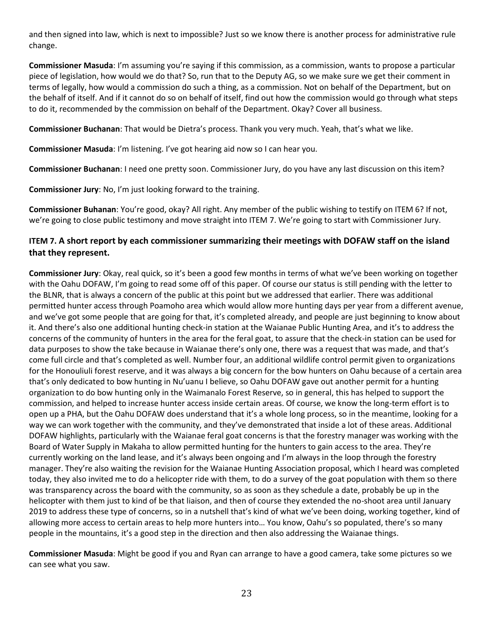and then signed into law, which is next to impossible? Just so we know there is another process for administrative rule change.

**Commissioner Masuda**: I'm assuming you're saying if this commission, as a commission, wants to propose a particular piece of legislation, how would we do that? So, run that to the Deputy AG, so we make sure we get their comment in terms of legally, how would a commission do such a thing, as a commission. Not on behalf of the Department, but on the behalf of itself. And if it cannot do so on behalf of itself, find out how the commission would go through what steps to do it, recommended by the commission on behalf of the Department. Okay? Cover all business.

**Commissioner Buchanan**: That would be Dietra's process. Thank you very much. Yeah, that's what we like.

**Commissioner Masuda**: I'm listening. I've got hearing aid now so I can hear you.

**Commissioner Buchanan**: I need one pretty soon. Commissioner Jury, do you have any last discussion on this item?

**Commissioner Jury**: No, I'm just looking forward to the training.

**Commissioner Buhanan**: You're good, okay? All right. Any member of the public wishing to testify on ITEM 6? If not, we're going to close public testimony and move straight into ITEM 7. We're going to start with Commissioner Jury.

# **ITEM 7. A short report by each commissioner summarizing their meetings with DOFAW staff on the island that they represent.**

**Commissioner Jury**: Okay, real quick, so it's been a good few months in terms of what we've been working on together with the Oahu DOFAW, I'm going to read some off of this paper. Of course our status is still pending with the letter to the BLNR, that is always a concern of the public at this point but we addressed that earlier. There was additional permitted hunter access through Poamoho area which would allow more hunting days per year from a different avenue, and we've got some people that are going for that, it's completed already, and people are just beginning to know about it. And there's also one additional hunting check-in station at the Waianae Public Hunting Area, and it's to address the concerns of the community of hunters in the area for the feral goat, to assure that the check-in station can be used for data purposes to show the take because in Waianae there's only one, there was a request that was made, and that's come full circle and that's completed as well. Number four, an additional wildlife control permit given to organizations for the Honouliuli forest reserve, and it was always a big concern for the bow hunters on Oahu because of a certain area that's only dedicated to bow hunting in Nu'uanu I believe, so Oahu DOFAW gave out another permit for a hunting organization to do bow hunting only in the Waimanalo Forest Reserve, so in general, this has helped to support the commission, and helped to increase hunter access inside certain areas. Of course, we know the long-term effort is to open up a PHA, but the Oahu DOFAW does understand that it's a whole long process, so in the meantime, looking for a way we can work together with the community, and they've demonstrated that inside a lot of these areas. Additional DOFAW highlights, particularly with the Waianae feral goat concerns is that the forestry manager was working with the Board of Water Supply in Makaha to allow permitted hunting for the hunters to gain access to the area. They're currently working on the land lease, and it's always been ongoing and I'm always in the loop through the forestry manager. They're also waiting the revision for the Waianae Hunting Association proposal, which I heard was completed today, they also invited me to do a helicopter ride with them, to do a survey of the goat population with them so there was transparency across the board with the community, so as soon as they schedule a date, probably be up in the helicopter with them just to kind of be that liaison, and then of course they extended the no-shoot area until January 2019 to address these type of concerns, so in a nutshell that's kind of what we've been doing, working together, kind of allowing more access to certain areas to help more hunters into… You know, Oahu's so populated, there's so many people in the mountains, it's a good step in the direction and then also addressing the Waianae things.

**Commissioner Masuda**: Might be good if you and Ryan can arrange to have a good camera, take some pictures so we can see what you saw.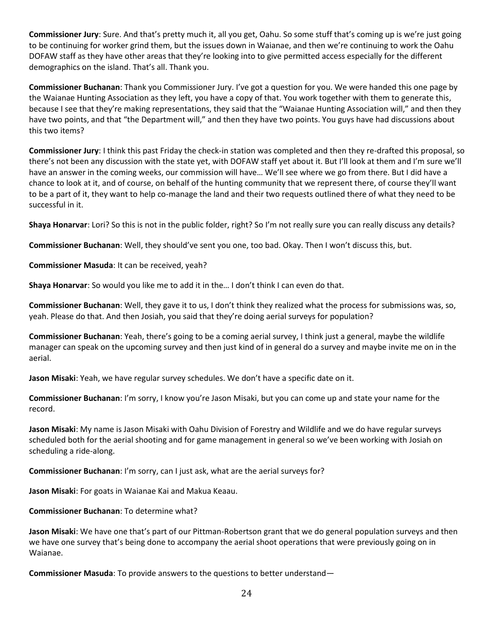**Commissioner Jury**: Sure. And that's pretty much it, all you get, Oahu. So some stuff that's coming up is we're just going to be continuing for worker grind them, but the issues down in Waianae, and then we're continuing to work the Oahu DOFAW staff as they have other areas that they're looking into to give permitted access especially for the different demographics on the island. That's all. Thank you.

**Commissioner Buchanan**: Thank you Commissioner Jury. I've got a question for you. We were handed this one page by the Waianae Hunting Association as they left, you have a copy of that. You work together with them to generate this, because I see that they're making representations, they said that the "Waianae Hunting Association will," and then they have two points, and that "the Department will," and then they have two points. You guys have had discussions about this two items?

**Commissioner Jury**: I think this past Friday the check-in station was completed and then they re-drafted this proposal, so there's not been any discussion with the state yet, with DOFAW staff yet about it. But I'll look at them and I'm sure we'll have an answer in the coming weeks, our commission will have… We'll see where we go from there. But I did have a chance to look at it, and of course, on behalf of the hunting community that we represent there, of course they'll want to be a part of it, they want to help co-manage the land and their two requests outlined there of what they need to be successful in it.

**Shaya Honarvar**: Lori? So this is not in the public folder, right? So I'm not really sure you can really discuss any details?

**Commissioner Buchanan**: Well, they should've sent you one, too bad. Okay. Then I won't discuss this, but.

**Commissioner Masuda**: It can be received, yeah?

**Shaya Honarvar**: So would you like me to add it in the… I don't think I can even do that.

**Commissioner Buchanan**: Well, they gave it to us, I don't think they realized what the process for submissions was, so, yeah. Please do that. And then Josiah, you said that they're doing aerial surveys for population?

**Commissioner Buchanan**: Yeah, there's going to be a coming aerial survey, I think just a general, maybe the wildlife manager can speak on the upcoming survey and then just kind of in general do a survey and maybe invite me on in the aerial.

**Jason Misaki**: Yeah, we have regular survey schedules. We don't have a specific date on it.

**Commissioner Buchanan**: I'm sorry, I know you're Jason Misaki, but you can come up and state your name for the record.

**Jason Misaki**: My name is Jason Misaki with Oahu Division of Forestry and Wildlife and we do have regular surveys scheduled both for the aerial shooting and for game management in general so we've been working with Josiah on scheduling a ride-along.

**Commissioner Buchanan**: I'm sorry, can I just ask, what are the aerial surveys for?

**Jason Misaki**: For goats in Waianae Kai and Makua Keaau.

### **Commissioner Buchanan**: To determine what?

**Jason Misaki**: We have one that's part of our Pittman-Robertson grant that we do general population surveys and then we have one survey that's being done to accompany the aerial shoot operations that were previously going on in Waianae.

**Commissioner Masuda**: To provide answers to the questions to better understand—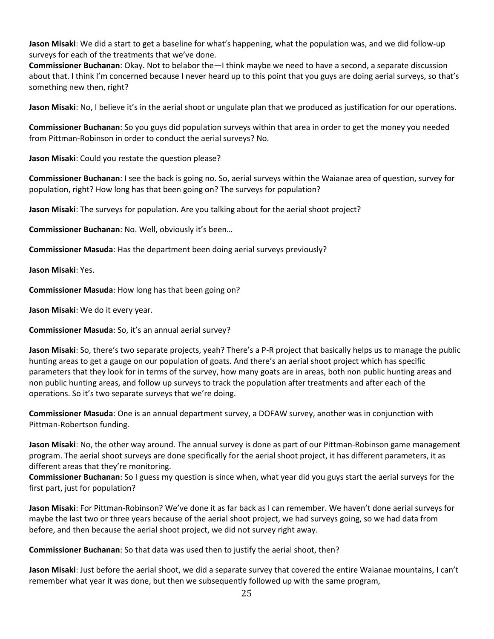**Jason Misaki**: We did a start to get a baseline for what's happening, what the population was, and we did follow-up surveys for each of the treatments that we've done.

**Commissioner Buchanan**: Okay. Not to belabor the—I think maybe we need to have a second, a separate discussion about that. I think I'm concerned because I never heard up to this point that you guys are doing aerial surveys, so that's something new then, right?

**Jason Misaki**: No, I believe it's in the aerial shoot or ungulate plan that we produced as justification for our operations.

**Commissioner Buchanan**: So you guys did population surveys within that area in order to get the money you needed from Pittman-Robinson in order to conduct the aerial surveys? No.

**Jason Misaki**: Could you restate the question please?

**Commissioner Buchanan**: I see the back is going no. So, aerial surveys within the Waianae area of question, survey for population, right? How long has that been going on? The surveys for population?

**Jason Misaki**: The surveys for population. Are you talking about for the aerial shoot project?

**Commissioner Buchanan**: No. Well, obviously it's been…

**Commissioner Masuda**: Has the department been doing aerial surveys previously?

**Jason Misaki**: Yes.

**Commissioner Masuda**: How long has that been going on?

**Jason Misaki**: We do it every year.

**Commissioner Masuda**: So, it's an annual aerial survey?

**Jason Misaki**: So, there's two separate projects, yeah? There's a P-R project that basically helps us to manage the public hunting areas to get a gauge on our population of goats. And there's an aerial shoot project which has specific parameters that they look for in terms of the survey, how many goats are in areas, both non public hunting areas and non public hunting areas, and follow up surveys to track the population after treatments and after each of the operations. So it's two separate surveys that we're doing.

**Commissioner Masuda**: One is an annual department survey, a DOFAW survey, another was in conjunction with Pittman-Robertson funding.

**Jason Misaki**: No, the other way around. The annual survey is done as part of our Pittman-Robinson game management program. The aerial shoot surveys are done specifically for the aerial shoot project, it has different parameters, it as different areas that they're monitoring.

**Commissioner Buchanan**: So I guess my question is since when, what year did you guys start the aerial surveys for the first part, just for population?

**Jason Misaki**: For Pittman-Robinson? We've done it as far back as I can remember. We haven't done aerial surveys for maybe the last two or three years because of the aerial shoot project, we had surveys going, so we had data from before, and then because the aerial shoot project, we did not survey right away.

**Commissioner Buchanan**: So that data was used then to justify the aerial shoot, then?

**Jason Misaki**: Just before the aerial shoot, we did a separate survey that covered the entire Waianae mountains, I can't remember what year it was done, but then we subsequently followed up with the same program,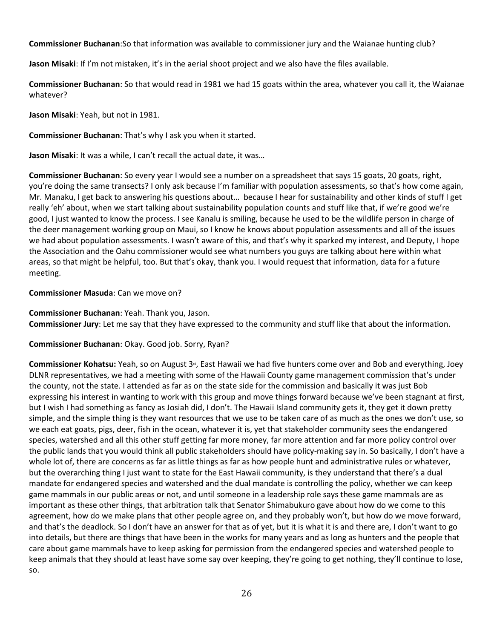**Commissioner Buchanan**:So that information was available to commissioner jury and the Waianae hunting club?

**Jason Misaki**: If I'm not mistaken, it's in the aerial shoot project and we also have the files available.

**Commissioner Buchanan**: So that would read in 1981 we had 15 goats within the area, whatever you call it, the Waianae whatever?

**Jason Misaki**: Yeah, but not in 1981.

**Commissioner Buchanan**: That's why I ask you when it started.

**Jason Misaki**: It was a while, I can't recall the actual date, it was…

**Commissioner Buchanan**: So every year I would see a number on a spreadsheet that says 15 goats, 20 goats, right, you're doing the same transects? I only ask because I'm familiar with population assessments, so that's how come again, Mr. Manaku, I get back to answering his questions about… because I hear for sustainability and other kinds of stuff I get really 'eh' about, when we start talking about sustainability population counts and stuff like that, if we're good we're good, I just wanted to know the process. I see Kanalu is smiling, because he used to be the wildlife person in charge of the deer management working group on Maui, so I know he knows about population assessments and all of the issues we had about population assessments. I wasn't aware of this, and that's why it sparked my interest, and Deputy, I hope the Association and the Oahu commissioner would see what numbers you guys are talking about here within what areas, so that might be helpful, too. But that's okay, thank you. I would request that information, data for a future meeting.

# **Commissioner Masuda**: Can we move on?

**Commissioner Buchanan**: Yeah. Thank you, Jason. **Commissioner Jury**: Let me say that they have expressed to the community and stuff like that about the information.

**Commissioner Buchanan**: Okay. Good job. Sorry, Ryan?

**Commissioner Kohatsu:** Yeah, so on August 3<sup>rd</sup>, East Hawaii we had five hunters come over and Bob and everything, Joey DLNR representatives, we had a meeting with some of the Hawaii County game management commission that's under the county, not the state. I attended as far as on the state side for the commission and basically it was just Bob expressing his interest in wanting to work with this group and move things forward because we've been stagnant at first, but I wish I had something as fancy as Josiah did, I don't. The Hawaii Island community gets it, they get it down pretty simple, and the simple thing is they want resources that we use to be taken care of as much as the ones we don't use, so we each eat goats, pigs, deer, fish in the ocean, whatever it is, yet that stakeholder community sees the endangered species, watershed and all this other stuff getting far more money, far more attention and far more policy control over the public lands that you would think all public stakeholders should have policy-making say in. So basically, I don't have a whole lot of, there are concerns as far as little things as far as how people hunt and administrative rules or whatever, but the overarching thing I just want to state for the East Hawaii community, is they understand that there's a dual mandate for endangered species and watershed and the dual mandate is controlling the policy, whether we can keep game mammals in our public areas or not, and until someone in a leadership role says these game mammals are as important as these other things, that arbitration talk that Senator Shimabukuro gave about how do we come to this agreement, how do we make plans that other people agree on, and they probably won't, but how do we move forward, and that's the deadlock. So I don't have an answer for that as of yet, but it is what it is and there are, I don't want to go into details, but there are things that have been in the works for many years and as long as hunters and the people that care about game mammals have to keep asking for permission from the endangered species and watershed people to keep animals that they should at least have some say over keeping, they're going to get nothing, they'll continue to lose, so.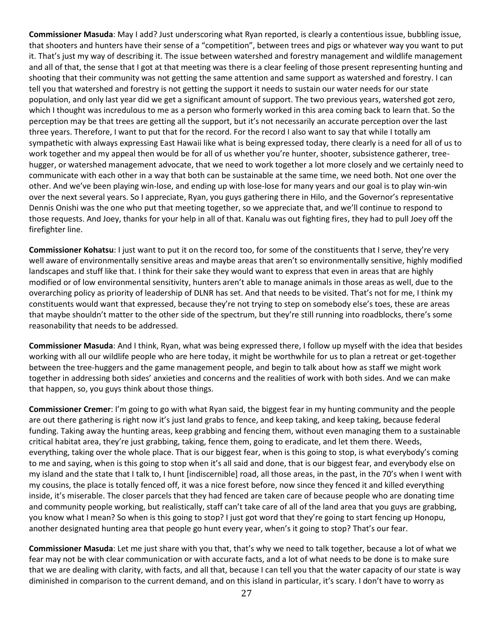**Commissioner Masuda**: May I add? Just underscoring what Ryan reported, is clearly a contentious issue, bubbling issue, that shooters and hunters have their sense of a "competition", between trees and pigs or whatever way you want to put it. That's just my way of describing it. The issue between watershed and forestry management and wildlife management and all of that, the sense that I got at that meeting was there is a clear feeling of those present representing hunting and shooting that their community was not getting the same attention and same support as watershed and forestry. I can tell you that watershed and forestry is not getting the support it needs to sustain our water needs for our state population, and only last year did we get a significant amount of support. The two previous years, watershed got zero, which I thought was incredulous to me as a person who formerly worked in this area coming back to learn that. So the perception may be that trees are getting all the support, but it's not necessarily an accurate perception over the last three years. Therefore, I want to put that for the record. For the record I also want to say that while I totally am sympathetic with always expressing East Hawaii like what is being expressed today, there clearly is a need for all of us to work together and my appeal then would be for all of us whether you're hunter, shooter, subsistence gatherer, treehugger, or watershed management advocate, that we need to work together a lot more closely and we certainly need to communicate with each other in a way that both can be sustainable at the same time, we need both. Not one over the other. And we've been playing win-lose, and ending up with lose-lose for many years and our goal is to play win-win over the next several years. So I appreciate, Ryan, you guys gathering there in Hilo, and the Governor's representative Dennis Onishi was the one who put that meeting together, so we appreciate that, and we'll continue to respond to those requests. And Joey, thanks for your help in all of that. Kanalu was out fighting fires, they had to pull Joey off the firefighter line.

**Commissioner Kohatsu**: I just want to put it on the record too, for some of the constituents that I serve, they're very well aware of environmentally sensitive areas and maybe areas that aren't so environmentally sensitive, highly modified landscapes and stuff like that. I think for their sake they would want to express that even in areas that are highly modified or of low environmental sensitivity, hunters aren't able to manage animals in those areas as well, due to the overarching policy as priority of leadership of DLNR has set. And that needs to be visited. That's not for me, I think my constituents would want that expressed, because they're not trying to step on somebody else's toes, these are areas that maybe shouldn't matter to the other side of the spectrum, but they're still running into roadblocks, there's some reasonability that needs to be addressed.

**Commissioner Masuda**: And I think, Ryan, what was being expressed there, I follow up myself with the idea that besides working with all our wildlife people who are here today, it might be worthwhile for us to plan a retreat or get-together between the tree-huggers and the game management people, and begin to talk about how as staff we might work together in addressing both sides' anxieties and concerns and the realities of work with both sides. And we can make that happen, so, you guys think about those things.

**Commissioner Cremer**: I'm going to go with what Ryan said, the biggest fear in my hunting community and the people are out there gathering is right now it's just land grabs to fence, and keep taking, and keep taking, because federal funding. Taking away the hunting areas, keep grabbing and fencing them, without even managing them to a sustainable critical habitat area, they're just grabbing, taking, fence them, going to eradicate, and let them there. Weeds, everything, taking over the whole place. That is our biggest fear, when is this going to stop, is what everybody's coming to me and saying, when is this going to stop when it's all said and done, that is our biggest fear, and everybody else on my island and the state that I talk to, I hunt [indiscernible] road, all those areas, in the past, in the 70's when I went with my cousins, the place is totally fenced off, it was a nice forest before, now since they fenced it and killed everything inside, it's miserable. The closer parcels that they had fenced are taken care of because people who are donating time and community people working, but realistically, staff can't take care of all of the land area that you guys are grabbing, you know what I mean? So when is this going to stop? I just got word that they're going to start fencing up Honopu, another designated hunting area that people go hunt every year, when's it going to stop? That's our fear.

**Commissioner Masuda**: Let me just share with you that, that's why we need to talk together, because a lot of what we fear may not be with clear communication or with accurate facts, and a lot of what needs to be done is to make sure that we are dealing with clarity, with facts, and all that, because I can tell you that the water capacity of our state is way diminished in comparison to the current demand, and on this island in particular, it's scary. I don't have to worry as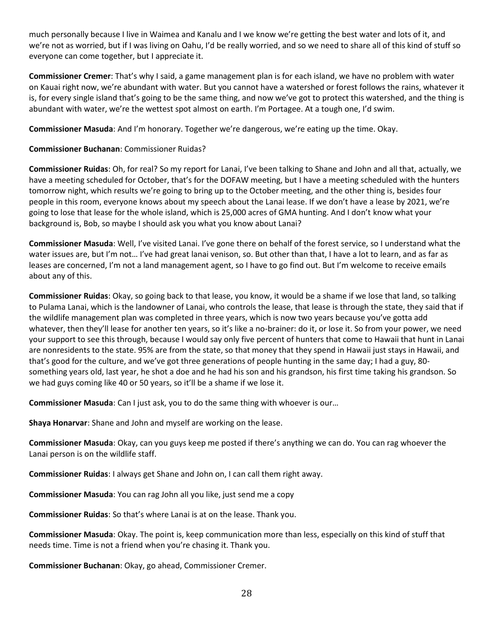much personally because I live in Waimea and Kanalu and I we know we're getting the best water and lots of it, and we're not as worried, but if I was living on Oahu, I'd be really worried, and so we need to share all of this kind of stuff so everyone can come together, but I appreciate it.

**Commissioner Cremer**: That's why I said, a game management plan is for each island, we have no problem with water on Kauai right now, we're abundant with water. But you cannot have a watershed or forest follows the rains, whatever it is, for every single island that's going to be the same thing, and now we've got to protect this watershed, and the thing is abundant with water, we're the wettest spot almost on earth. I'm Portagee. At a tough one, I'd swim.

**Commissioner Masuda**: And I'm honorary. Together we're dangerous, we're eating up the time. Okay.

# **Commissioner Buchanan**: Commissioner Ruidas?

**Commissioner Ruidas**: Oh, for real? So my report for Lanai, I've been talking to Shane and John and all that, actually, we have a meeting scheduled for October, that's for the DOFAW meeting, but I have a meeting scheduled with the hunters tomorrow night, which results we're going to bring up to the October meeting, and the other thing is, besides four people in this room, everyone knows about my speech about the Lanai lease. If we don't have a lease by 2021, we're going to lose that lease for the whole island, which is 25,000 acres of GMA hunting. And I don't know what your background is, Bob, so maybe I should ask you what you know about Lanai?

**Commissioner Masuda**: Well, I've visited Lanai. I've gone there on behalf of the forest service, so I understand what the water issues are, but I'm not… I've had great lanai venison, so. But other than that, I have a lot to learn, and as far as leases are concerned, I'm not a land management agent, so I have to go find out. But I'm welcome to receive emails about any of this.

**Commissioner Ruidas**: Okay, so going back to that lease, you know, it would be a shame if we lose that land, so talking to Pulama Lanai, which is the landowner of Lanai, who controls the lease, that lease is through the state, they said that if the wildlife management plan was completed in three years, which is now two years because you've gotta add whatever, then they'll lease for another ten years, so it's like a no-brainer: do it, or lose it. So from your power, we need your support to see this through, because I would say only five percent of hunters that come to Hawaii that hunt in Lanai are nonresidents to the state. 95% are from the state, so that money that they spend in Hawaii just stays in Hawaii, and that's good for the culture, and we've got three generations of people hunting in the same day; I had a guy, 80 something years old, last year, he shot a doe and he had his son and his grandson, his first time taking his grandson. So we had guys coming like 40 or 50 years, so it'll be a shame if we lose it.

**Commissioner Masuda**: Can I just ask, you to do the same thing with whoever is our…

**Shaya Honarvar**: Shane and John and myself are working on the lease.

**Commissioner Masuda**: Okay, can you guys keep me posted if there's anything we can do. You can rag whoever the Lanai person is on the wildlife staff.

**Commissioner Ruidas**: I always get Shane and John on, I can call them right away.

**Commissioner Masuda**: You can rag John all you like, just send me a copy

**Commissioner Ruidas**: So that's where Lanai is at on the lease. Thank you.

**Commissioner Masuda**: Okay. The point is, keep communication more than less, especially on this kind of stuff that needs time. Time is not a friend when you're chasing it. Thank you.

**Commissioner Buchanan**: Okay, go ahead, Commissioner Cremer.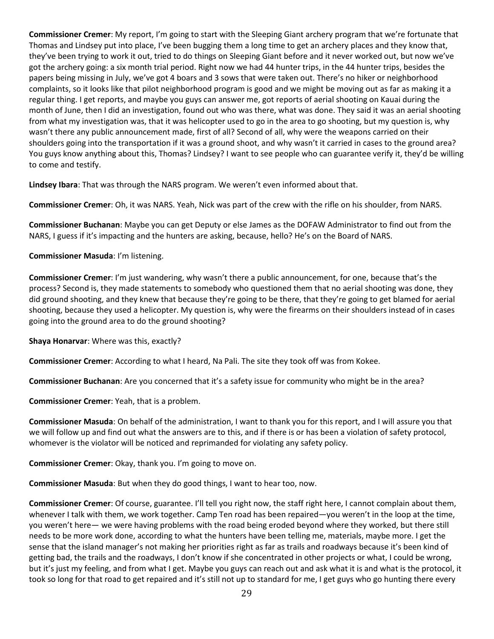**Commissioner Cremer**: My report, I'm going to start with the Sleeping Giant archery program that we're fortunate that Thomas and Lindsey put into place, I've been bugging them a long time to get an archery places and they know that, they've been trying to work it out, tried to do things on Sleeping Giant before and it never worked out, but now we've got the archery going: a six month trial period. Right now we had 44 hunter trips, in the 44 hunter trips, besides the papers being missing in July, we've got 4 boars and 3 sows that were taken out. There's no hiker or neighborhood complaints, so it looks like that pilot neighborhood program is good and we might be moving out as far as making it a regular thing. I get reports, and maybe you guys can answer me, got reports of aerial shooting on Kauai during the month of June, then I did an investigation, found out who was there, what was done. They said it was an aerial shooting from what my investigation was, that it was helicopter used to go in the area to go shooting, but my question is, why wasn't there any public announcement made, first of all? Second of all, why were the weapons carried on their shoulders going into the transportation if it was a ground shoot, and why wasn't it carried in cases to the ground area? You guys know anything about this, Thomas? Lindsey? I want to see people who can guarantee verify it, they'd be willing to come and testify.

**Lindsey Ibara**: That was through the NARS program. We weren't even informed about that.

**Commissioner Cremer**: Oh, it was NARS. Yeah, Nick was part of the crew with the rifle on his shoulder, from NARS.

**Commissioner Buchanan**: Maybe you can get Deputy or else James as the DOFAW Administrator to find out from the NARS, I guess if it's impacting and the hunters are asking, because, hello? He's on the Board of NARS.

# **Commissioner Masuda**: I'm listening.

**Commissioner Cremer**: I'm just wandering, why wasn't there a public announcement, for one, because that's the process? Second is, they made statements to somebody who questioned them that no aerial shooting was done, they did ground shooting, and they knew that because they're going to be there, that they're going to get blamed for aerial shooting, because they used a helicopter. My question is, why were the firearms on their shoulders instead of in cases going into the ground area to do the ground shooting?

**Shaya Honarvar**: Where was this, exactly?

**Commissioner Cremer**: According to what I heard, Na Pali. The site they took off was from Kokee.

**Commissioner Buchanan**: Are you concerned that it's a safety issue for community who might be in the area?

**Commissioner Cremer**: Yeah, that is a problem.

**Commissioner Masuda**: On behalf of the administration, I want to thank you for this report, and I will assure you that we will follow up and find out what the answers are to this, and if there is or has been a violation of safety protocol, whomever is the violator will be noticed and reprimanded for violating any safety policy.

**Commissioner Cremer**: Okay, thank you. I'm going to move on.

**Commissioner Masuda**: But when they do good things, I want to hear too, now.

**Commissioner Cremer**: Of course, guarantee. I'll tell you right now, the staff right here, I cannot complain about them, whenever I talk with them, we work together. Camp Ten road has been repaired—you weren't in the loop at the time, you weren't here— we were having problems with the road being eroded beyond where they worked, but there still needs to be more work done, according to what the hunters have been telling me, materials, maybe more. I get the sense that the island manager's not making her priorities right as far as trails and roadways because it's been kind of getting bad, the trails and the roadways, I don't know if she concentrated in other projects or what, I could be wrong, but it's just my feeling, and from what I get. Maybe you guys can reach out and ask what it is and what is the protocol, it took so long for that road to get repaired and it's still not up to standard for me, I get guys who go hunting there every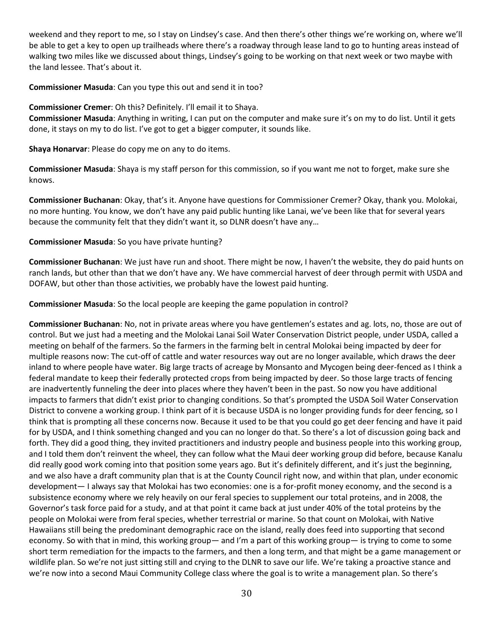weekend and they report to me, so I stay on Lindsey's case. And then there's other things we're working on, where we'll be able to get a key to open up trailheads where there's a roadway through lease land to go to hunting areas instead of walking two miles like we discussed about things, Lindsey's going to be working on that next week or two maybe with the land lessee. That's about it.

#### **Commissioner Masuda**: Can you type this out and send it in too?

### **Commissioner Cremer**: Oh this? Definitely. I'll email it to Shaya.

**Commissioner Masuda**: Anything in writing, I can put on the computer and make sure it's on my to do list. Until it gets done, it stays on my to do list. I've got to get a bigger computer, it sounds like.

**Shaya Honarvar**: Please do copy me on any to do items.

**Commissioner Masuda**: Shaya is my staff person for this commission, so if you want me not to forget, make sure she knows.

**Commissioner Buchanan**: Okay, that's it. Anyone have questions for Commissioner Cremer? Okay, thank you. Molokai, no more hunting. You know, we don't have any paid public hunting like Lanai, we've been like that for several years because the community felt that they didn't want it, so DLNR doesn't have any…

### **Commissioner Masuda**: So you have private hunting?

**Commissioner Buchanan**: We just have run and shoot. There might be now, I haven't the website, they do paid hunts on ranch lands, but other than that we don't have any. We have commercial harvest of deer through permit with USDA and DOFAW, but other than those activities, we probably have the lowest paid hunting.

**Commissioner Masuda**: So the local people are keeping the game population in control?

**Commissioner Buchanan**: No, not in private areas where you have gentlemen's estates and ag. lots, no, those are out of control. But we just had a meeting and the Molokai Lanai Soil Water Conservation District people, under USDA, called a meeting on behalf of the farmers. So the farmers in the farming belt in central Molokai being impacted by deer for multiple reasons now: The cut-off of cattle and water resources way out are no longer available, which draws the deer inland to where people have water. Big large tracts of acreage by Monsanto and Mycogen being deer-fenced as I think a federal mandate to keep their federally protected crops from being impacted by deer. So those large tracts of fencing are inadvertently funneling the deer into places where they haven't been in the past. So now you have additional impacts to farmers that didn't exist prior to changing conditions. So that's prompted the USDA Soil Water Conservation District to convene a working group. I think part of it is because USDA is no longer providing funds for deer fencing, so I think that is prompting all these concerns now. Because it used to be that you could go get deer fencing and have it paid for by USDA, and I think something changed and you can no longer do that. So there's a lot of discussion going back and forth. They did a good thing, they invited practitioners and industry people and business people into this working group, and I told them don't reinvent the wheel, they can follow what the Maui deer working group did before, because Kanalu did really good work coming into that position some years ago. But it's definitely different, and it's just the beginning, and we also have a draft community plan that is at the County Council right now, and within that plan, under economic development— I always say that Molokai has two economies: one is a for-profit money economy, and the second is a subsistence economy where we rely heavily on our feral species to supplement our total proteins, and in 2008, the Governor's task force paid for a study, and at that point it came back at just under 40% of the total proteins by the people on Molokai were from feral species, whether terrestrial or marine. So that count on Molokai, with Native Hawaiians still being the predominant demographic race on the island, really does feed into supporting that second economy. So with that in mind, this working group— and I'm a part of this working group— is trying to come to some short term remediation for the impacts to the farmers, and then a long term, and that might be a game management or wildlife plan. So we're not just sitting still and crying to the DLNR to save our life. We're taking a proactive stance and we're now into a second Maui Community College class where the goal is to write a management plan. So there's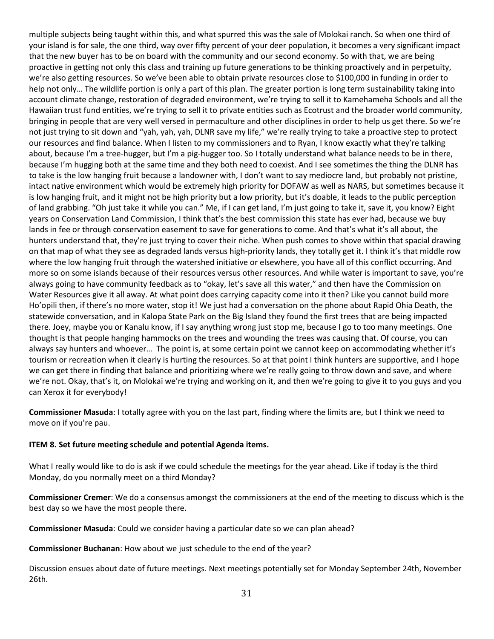multiple subjects being taught within this, and what spurred this was the sale of Molokai ranch. So when one third of your island is for sale, the one third, way over fifty percent of your deer population, it becomes a very significant impact that the new buyer has to be on board with the community and our second economy. So with that, we are being proactive in getting not only this class and training up future generations to be thinking proactively and in perpetuity, we're also getting resources. So we've been able to obtain private resources close to \$100,000 in funding in order to help not only… The wildlife portion is only a part of this plan. The greater portion is long term sustainability taking into account climate change, restoration of degraded environment, we're trying to sell it to Kamehameha Schools and all the Hawaiian trust fund entities, we're trying to sell it to private entities such as Ecotrust and the broader world community, bringing in people that are very well versed in permaculture and other disciplines in order to help us get there. So we're not just trying to sit down and "yah, yah, yah, DLNR save my life," we're really trying to take a proactive step to protect our resources and find balance. When I listen to my commissioners and to Ryan, I know exactly what they're talking about, because I'm a tree-hugger, but I'm a pig-hugger too. So I totally understand what balance needs to be in there, because I'm hugging both at the same time and they both need to coexist. And I see sometimes the thing the DLNR has to take is the low hanging fruit because a landowner with, I don't want to say mediocre land, but probably not pristine, intact native environment which would be extremely high priority for DOFAW as well as NARS, but sometimes because it is low hanging fruit, and it might not be high priority but a low priority, but it's doable, it leads to the public perception of land grabbing. "Oh just take it while you can." Me, if I can get land, I'm just going to take it, save it, you know? Eight years on Conservation Land Commission, I think that's the best commission this state has ever had, because we buy lands in fee or through conservation easement to save for generations to come. And that's what it's all about, the hunters understand that, they're just trying to cover their niche. When push comes to shove within that spacial drawing on that map of what they see as degraded lands versus high-priority lands, they totally get it. I think it's that middle row where the low hanging fruit through the watershed initiative or elsewhere, you have all of this conflict occurring. And more so on some islands because of their resources versus other resources. And while water is important to save, you're always going to have community feedback as to "okay, let's save all this water," and then have the Commission on Water Resources give it all away. At what point does carrying capacity come into it then? Like you cannot build more Ho'opili then, if there's no more water, stop it! We just had a conversation on the phone about Rapid Ohia Death, the statewide conversation, and in Kalopa State Park on the Big Island they found the first trees that are being impacted there. Joey, maybe you or Kanalu know, if I say anything wrong just stop me, because I go to too many meetings. One thought is that people hanging hammocks on the trees and wounding the trees was causing that. Of course, you can always say hunters and whoever… The point is, at some certain point we cannot keep on accommodating whether it's tourism or recreation when it clearly is hurting the resources. So at that point I think hunters are supportive, and I hope we can get there in finding that balance and prioritizing where we're really going to throw down and save, and where we're not. Okay, that's it, on Molokai we're trying and working on it, and then we're going to give it to you guys and you can Xerox it for everybody!

**Commissioner Masuda**: I totally agree with you on the last part, finding where the limits are, but I think we need to move on if you're pau.

### **ITEM 8. Set future meeting schedule and potential Agenda items.**

What I really would like to do is ask if we could schedule the meetings for the year ahead. Like if today is the third Monday, do you normally meet on a third Monday?

**Commissioner Cremer**: We do a consensus amongst the commissioners at the end of the meeting to discuss which is the best day so we have the most people there.

**Commissioner Masuda**: Could we consider having a particular date so we can plan ahead?

**Commissioner Buchanan**: How about we just schedule to the end of the year?

Discussion ensues about date of future meetings. Next meetings potentially set for Monday September 24th, November 26th.